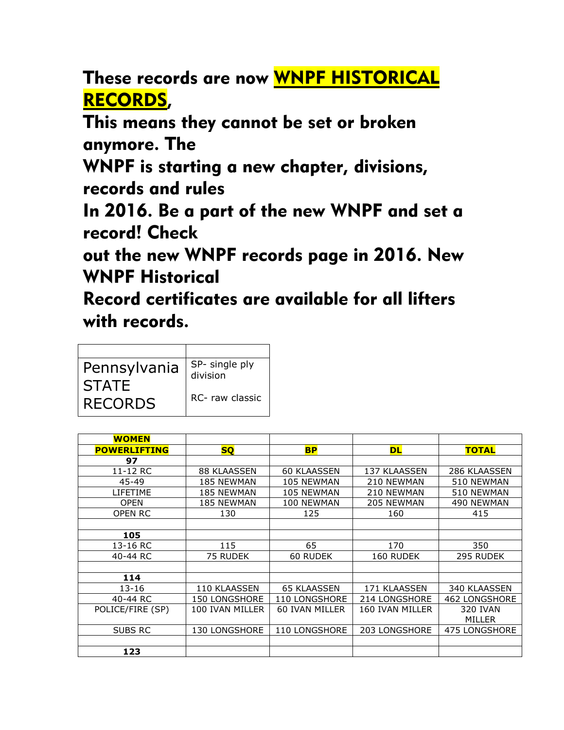These records are now WNPF HISTORICAL RECORDS,

This means they cannot be set or broken anymore. The

WNPF is starting a new chapter, divisions, records and rules

In 2016. Be a part of the new WNPF and set a record! Check

out the new WNPF records page in 2016. New WNPF Historical

Record certificates are available for all lifters with records.

| Pennsylvania<br><b>STATE</b> | SP- single ply<br>division |
|------------------------------|----------------------------|
| <b>RECORDS</b>               | RC- raw classic            |

| <b>WOMEN</b>        |                      |                      |                 |                      |
|---------------------|----------------------|----------------------|-----------------|----------------------|
| <b>POWERLIFTING</b> | <b>SQ</b>            | <b>BP</b>            | <b>DL</b>       | <b>TOTAL</b>         |
| 97                  |                      |                      |                 |                      |
| 11-12 RC            | 88 KLAASSEN          | <b>60 KLAASSEN</b>   | 137 KLAASSEN    | 286 KLAASSEN         |
| $45 - 49$           | <b>185 NEWMAN</b>    | 105 NEWMAN           | 210 NEWMAN      | 510 NEWMAN           |
| LIFETIME            | <b>185 NEWMAN</b>    | 105 NEWMAN           | 210 NEWMAN      | 510 NEWMAN           |
| <b>OPEN</b>         | <b>185 NEWMAN</b>    | 100 NEWMAN           | 205 NEWMAN      | 490 NEWMAN           |
| OPEN RC             | 130                  | 125                  | 160             | 415                  |
|                     |                      |                      |                 |                      |
| 105                 |                      |                      |                 |                      |
| 13-16 RC            | 115                  | 65                   | 170             | 350                  |
| 40-44 RC            | 75 RUDEK             | 60 RUDEK             | 160 RUDEK       | 295 RUDEK            |
|                     |                      |                      |                 |                      |
| 114                 |                      |                      |                 |                      |
| 13-16               | 110 KLAASSEN         | <b>65 KLAASSEN</b>   | 171 KLAASSEN    | 340 KLAASSEN         |
| 40-44 RC            | <b>150 LONGSHORE</b> | <b>110 LONGSHORE</b> | 214 LONGSHORE   | <b>462 LONGSHORE</b> |
| POLICE/FIRE (SP)    | 100 IVAN MILLER      | 60 IVAN MILLER       | 160 IVAN MILLER | 320 IVAN             |
|                     |                      |                      |                 | <b>MILLER</b>        |
| SUBS RC             | <b>130 LONGSHORE</b> | 110 LONGSHORE        | 203 LONGSHORE   | 475 LONGSHORE        |
|                     |                      |                      |                 |                      |
| 123                 |                      |                      |                 |                      |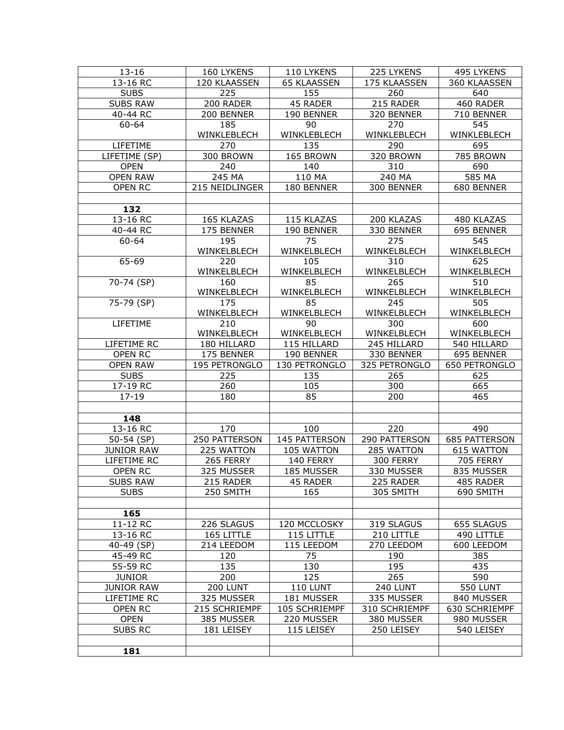| $13 - 16$         | 160 LYKENS     | 110 LYKENS            | 225 LYKENS    | 495 LYKENS           |
|-------------------|----------------|-----------------------|---------------|----------------------|
| 13-16 RC          | 120 KLAASSEN   | <b>65 KLAASSEN</b>    | 175 KLAASSEN  | 360 KLAASSEN         |
| <b>SUBS</b>       | 225            | 155                   | 260           | 640                  |
| <b>SUBS RAW</b>   | 200 RADER      | 45 RADER              | 215 RADER     | 460 RADER            |
| 40-44 RC          | 200 BENNER     | 190 BENNER            | 320 BENNER    | 710 BENNER           |
| 60-64             | 185            | 90                    | 270           | 545                  |
|                   | WINKLEBLECH    | WINKLEBLECH           | WINKLEBLECH   | WINKLEBLECH          |
|                   |                |                       |               |                      |
| LIFETIME          | 270            | 135                   | 290           | 695                  |
| LIFETIME (SP)     | 300 BROWN      | 165 BROWN             | 320 BROWN     | 785 BROWN            |
| <b>OPEN</b>       | 240            | 140                   | 310           | 690                  |
| <b>OPEN RAW</b>   | 245 MA         | 110 MA                | 240 MA        | 585 MA               |
| OPEN RC           | 215 NEIDLINGER | 180 BENNER            | 300 BENNER    | 680 BENNER           |
|                   |                |                       |               |                      |
| 132               |                |                       |               |                      |
| 13-16 RC          | 165 KLAZAS     | 115 KLAZAS            | 200 KLAZAS    | 480 KLAZAS           |
| 40-44 RC          | 175 BENNER     | 190 BENNER            | 330 BENNER    | 695 BENNER           |
| 60-64             | 195            | 75                    | 275           | 545                  |
|                   | WINKELBLECH    | WINKELBLECH           | WINKELBLECH   | WINKELBLECH          |
| 65-69             | 220            | 105                   | 310           | 625                  |
|                   | WINKELBLECH    | WINKELBLECH           | WINKELBLECH   | WINKELBLECH          |
| 70-74 (SP)        | 160            | 85                    | 265           | 510                  |
|                   | WINKELBLECH    | WINKELBLECH           | WINKELBLECH   | WINKELBLECH          |
|                   |                | 85                    |               |                      |
| 75-79 (SP)        | 175            |                       | 245           | 505                  |
|                   | WINKELBLECH    | WINKELBLECH           | WINKELBLECH   | WINKELBLECH          |
| LIFETIME          | 210            | 90                    | 300           | 600                  |
|                   | WINKELBLECH    | WINKELBLECH           | WINKELBLECH   | WINKELBLECH          |
| LIFETIME RC       | 180 HILLARD    | 115 HILLARD           | 245 HILLARD   | 540 HILLARD          |
| OPEN RC           | 175 BENNER     | 190 BENNER            | 330 BENNER    | 695 BENNER           |
| <b>OPEN RAW</b>   | 195 PETRONGLO  | 130 PETRONGLO         | 325 PETRONGLO | 650 PETRONGLO        |
| <b>SUBS</b>       | 225            | 135                   | 265           | 625                  |
| 17-19 RC          | 260            | 105                   | 300           | 665                  |
| $17 - 19$         | 180            | 85                    | 200           | 465                  |
|                   |                |                       |               |                      |
| 148               |                |                       |               |                      |
| 13-16 RC          | 170            | 100                   | 220           | 490                  |
| $50-54$ (SP)      | 250 PATTERSON  | 145 PATTERSON         | 290 PATTERSON | <b>685 PATTERSON</b> |
| JUNIOR RAW        | 225 WATTON     | 105 WATTON            | 285 WATTON    | <b>615 WATTON</b>    |
| LIFETIME RC       | 265 FERRY      | 140 FERRY             | 300 FERRY     | <b>705 FERRY</b>     |
|                   |                | 185 MUSSER            |               |                      |
| <b>OPEN RC</b>    | 325 MUSSER     |                       | 330 MUSSER    | 835 MUSSER           |
| <b>SUBS RAW</b>   | 215 RADER      | $\overline{45}$ RADER | 225 RADER     | 485 RADER            |
| <b>SUBS</b>       | 250 SMITH      | 165                   | 305 SMITH     | 690 SMITH            |
|                   |                |                       |               |                      |
| 165               |                |                       |               |                      |
| 11-12 RC          | 226 SLAGUS     | 120 MCCLOSKY          | 319 SLAGUS    | 655 SLAGUS           |
| 13-16 RC          | 165 LITTLE     | 115 LITTLE            | 210 LITTLE    | 490 LITTLE           |
| 40-49 (SP)        | 214 LEEDOM     | 115 LEEDOM            | 270 LEEDOM    | 600 LEEDOM           |
| 45-49 RC          | 120            | 75                    | 190           | 385                  |
| 55-59 RC          | 135            | 130                   | 195           | 435                  |
| <b>JUNIOR</b>     | 200            | 125                   | 265           | 590                  |
| <b>JUNIOR RAW</b> | 200 LUNT       | <b>110 LUNT</b>       | 240 LUNT      | <b>550 LUNT</b>      |
| LIFETIME RC       | 325 MUSSER     | 181 MUSSER            | 335 MUSSER    | 840 MUSSER           |
|                   |                |                       |               |                      |
| OPEN RC           | 215 SCHRIEMPF  | 105 SCHRIEMPF         | 310 SCHRIEMPF | 630 SCHRIEMPF        |
| <b>OPEN</b>       | 385 MUSSER     | 220 MUSSER            | 380 MUSSER    | 980 MUSSER           |
| SUBS RC           | 181 LEISEY     | 115 LEISEY            | 250 LEISEY    | 540 LEISEY           |
|                   |                |                       |               |                      |
| 181               |                |                       |               |                      |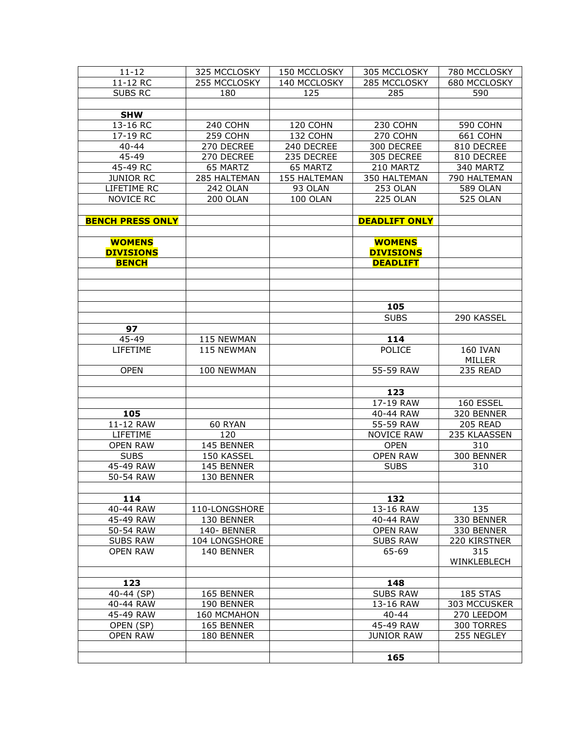| $11 - 12$               | 325 MCCLOSKY    | 150 MCCLOSKY | 305 MCCLOSKY         | 780 MCCLOSKY    |
|-------------------------|-----------------|--------------|----------------------|-----------------|
| 11-12 RC                | 255 MCCLOSKY    | 140 MCCLOSKY | 285 MCCLOSKY         | 680 MCCLOSKY    |
| <b>SUBS RC</b>          | 180             | 125          | 285                  | 590             |
|                         |                 |              |                      |                 |
| <b>SHW</b>              |                 |              |                      |                 |
| 13-16 RC                | 240 COHN        | 120 COHN     | 230 COHN             | 590 COHN        |
| 17-19 RC                | 259 COHN        | 132 COHN     | 270 COHN             | 661 COHN        |
| $40 - 44$               | 270 DECREE      | 240 DECREE   | 300 DECREE           | 810 DECREE      |
| 45-49                   | 270 DECREE      | 235 DECREE   | 305 DECREE           | 810 DECREE      |
| 45-49 RC                | 65 MARTZ        | 65 MARTZ     | 210 MARTZ            | 340 MARTZ       |
| <b>JUNIOR RC</b>        | 285 HALTEMAN    | 155 HALTEMAN | 350 HALTEMAN         | 790 HALTEMAN    |
| LIFETIME RC             | <b>242 OLAN</b> | 93 OLAN      | 253 OLAN             | <b>589 OLAN</b> |
| <b>NOVICE RC</b>        | 200 OLAN        | 100 OLAN     | 225 OLAN             | 525 OLAN        |
|                         |                 |              |                      |                 |
|                         |                 |              |                      |                 |
| <b>BENCH PRESS ONLY</b> |                 |              | <b>DEADLIFT ONLY</b> |                 |
|                         |                 |              |                      |                 |
| <b>WOMENS</b>           |                 |              | <b>WOMENS</b>        |                 |
| <b>DIVISIONS</b>        |                 |              | <b>DIVISIONS</b>     |                 |
| <b>BENCH</b>            |                 |              | <b>DEADLIFT</b>      |                 |
|                         |                 |              |                      |                 |
|                         |                 |              |                      |                 |
|                         |                 |              |                      |                 |
|                         |                 |              | 105                  |                 |
|                         |                 |              | <b>SUBS</b>          | 290 KASSEL      |
| 97                      |                 |              |                      |                 |
| 45-49                   | 115 NEWMAN      |              | 114                  |                 |
| LIFETIME                | 115 NEWMAN      |              | <b>POLICE</b>        | <b>160 IVAN</b> |
|                         |                 |              |                      | MILLER          |
| <b>OPEN</b>             | 100 NEWMAN      |              | 55-59 RAW            | 235 READ        |
|                         |                 |              |                      |                 |
|                         |                 |              | 123                  |                 |
|                         |                 |              | 17-19 RAW            | 160 ESSEL       |
| 105                     |                 |              | 40-44 RAW            | 320 BENNER      |
| 11-12 RAW               | 60 RYAN         |              | 55-59 RAW            | 205 READ        |
| LIFETIME                | 120             |              | <b>NOVICE RAW</b>    | 235 KLAASSEN    |
| <b>OPEN RAW</b>         | 145 BENNER      |              | <b>OPEN</b>          | 310             |
| <b>SUBS</b>             | 150 KASSEL      |              | <b>OPEN RAW</b>      | 300 BENNER      |
| 45-49 RAW               | 145 BENNER      |              | <b>SUBS</b>          | 310             |
| 50-54 RAW               | 130 BENNER      |              |                      |                 |
|                         |                 |              |                      |                 |
| 114                     |                 |              | 132                  |                 |
| 40-44 RAW               | 110-LONGSHORE   |              | 13-16 RAW            | 135             |
| 45-49 RAW               | 130 BENNER      |              | 40-44 RAW            | 330 BENNER      |
| 50-54 RAW               | 140-BENNER      |              | <b>OPEN RAW</b>      | 330 BENNER      |
| <b>SUBS RAW</b>         | 104 LONGSHORE   |              | <b>SUBS RAW</b>      | 220 KIRSTNER    |
| <b>OPEN RAW</b>         | 140 BENNER      |              | 65-69                | 315             |
|                         |                 |              |                      | WINKLEBLECH     |
|                         |                 |              |                      |                 |
| 123                     |                 |              | 148                  |                 |
|                         |                 |              | <b>SUBS RAW</b>      | 185 STAS        |
| 40-44 (SP)              | 165 BENNER      |              |                      |                 |
| 40-44 RAW               | 190 BENNER      |              | 13-16 RAW            | 303 MCCUSKER    |
| 45-49 RAW               | 160 MCMAHON     |              | $40 - 44$            | 270 LEEDOM      |
| OPEN (SP)               | 165 BENNER      |              | 45-49 RAW            | 300 TORRES      |
| <b>OPEN RAW</b>         | 180 BENNER      |              | <b>JUNIOR RAW</b>    | 255 NEGLEY      |
|                         |                 |              |                      |                 |
|                         |                 |              | 165                  |                 |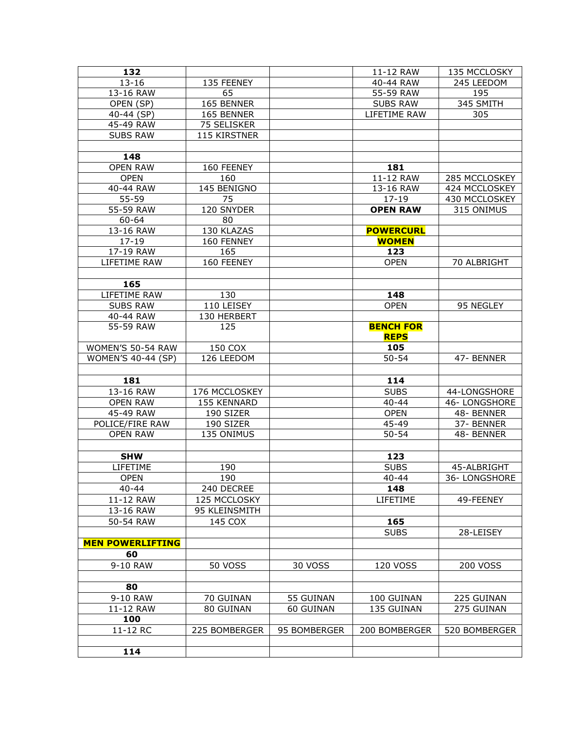| 132                     |                    |              | 11-12 RAW        | 135 MCCLOSKY  |
|-------------------------|--------------------|--------------|------------------|---------------|
| $13 - 16$               | 135 FEENEY         |              | 40-44 RAW        | 245 LEEDOM    |
| 13-16 RAW               | 65                 |              | 55-59 RAW        | 195           |
| OPEN (SP)               | 165 BENNER         |              | <b>SUBS RAW</b>  | 345 SMITH     |
| 40-44 (SP)              | 165 BENNER         |              | LIFETIME RAW     | 305           |
| 45-49 RAW               | 75 SELISKER        |              |                  |               |
| <b>SUBS RAW</b>         | 115 KIRSTNER       |              |                  |               |
|                         |                    |              |                  |               |
| 148                     |                    |              |                  |               |
| <b>OPEN RAW</b>         | 160 FEENEY         |              | 181              |               |
| <b>OPEN</b>             | 160                |              | 11-12 RAW        | 285 MCCLOSKEY |
| 40-44 RAW               | 145 BENIGNO        |              | 13-16 RAW        | 424 MCCLOSKEY |
| 55-59                   | 75                 |              | $17 - 19$        | 430 MCCLOSKEY |
| 55-59 RAW               | 120 SNYDER         |              | <b>OPEN RAW</b>  | 315 ONIMUS    |
| 60-64                   | 80                 |              |                  |               |
| 13-16 RAW               | 130 KLAZAS         |              | <b>POWERCURL</b> |               |
| $17 - 19$               | 160 FENNEY         |              | <b>WOMEN</b>     |               |
| 17-19 RAW               | 165                |              | 123              |               |
| LIFETIME RAW            | 160 FEENEY         |              | <b>OPEN</b>      | 70 ALBRIGHT   |
|                         |                    |              |                  |               |
| 165                     |                    |              |                  |               |
| LIFETIME RAW            | 130                |              | 148              |               |
| <b>SUBS RAW</b>         | 110 LEISEY         |              | <b>OPEN</b>      | 95 NEGLEY     |
|                         |                    |              |                  |               |
| 40-44 RAW<br>55-59 RAW  | 130 HERBERT<br>125 |              | <b>BENCH FOR</b> |               |
|                         |                    |              | <b>REPS</b>      |               |
| WOMEN'S 50-54 RAW       | 150 COX            |              | 105              |               |
| WOMEN'S 40-44 (SP)      | 126 LEEDOM         |              | $50 - 54$        |               |
|                         |                    |              |                  | 47- BENNER    |
|                         |                    |              |                  |               |
| 181                     |                    |              | 114              |               |
| 13-16 RAW               | 176 MCCLOSKEY      |              | <b>SUBS</b>      | 44-LONGSHORE  |
| <b>OPEN RAW</b>         | 155 KENNARD        |              | $40 - 44$        | 46-LONGSHORE  |
| 45-49 RAW               | 190 SIZER          |              | <b>OPEN</b>      | 48- BENNER    |
| POLICE/FIRE RAW         | 190 SIZER          |              | $45 - 49$        | 37- BENNER    |
| <b>OPEN RAW</b>         | 135 ONIMUS         |              | $50 - 54$        | 48-BENNER     |
|                         |                    |              |                  |               |
| <b>SHW</b>              |                    |              | 123              |               |
| LIFETIME                | 190                |              | <b>SUBS</b>      | 45-ALBRIGHT   |
| <b>OPEN</b>             | 190                |              | $40 - 44$        | 36-LONGSHORE  |
| 40-44                   | 240 DECREE         |              | 148              |               |
| 11-12 RAW               | 125 MCCLOSKY       |              | LIFETIME         | 49-FEENEY     |
| 13-16 RAW               | 95 KLEINSMITH      |              |                  |               |
| 50-54 RAW               | 145 COX            |              | 165              |               |
|                         |                    |              | <b>SUBS</b>      | 28-LEISEY     |
| <b>MEN POWERLIFTING</b> |                    |              |                  |               |
| 60                      |                    |              |                  |               |
| 9-10 RAW                | <b>50 VOSS</b>     | 30 VOSS      | 120 VOSS         | 200 VOSS      |
|                         |                    |              |                  |               |
| 80                      |                    |              |                  |               |
| 9-10 RAW                | 70 GUINAN          | 55 GUINAN    | 100 GUINAN       | 225 GUINAN    |
| 11-12 RAW               | 80 GUINAN          | 60 GUINAN    | 135 GUINAN       | 275 GUINAN    |
| 100                     |                    |              |                  |               |
| 11-12 RC                | 225 BOMBERGER      | 95 BOMBERGER | 200 BOMBERGER    | 520 BOMBERGER |
|                         |                    |              |                  |               |
| 114                     |                    |              |                  |               |
|                         |                    |              |                  |               |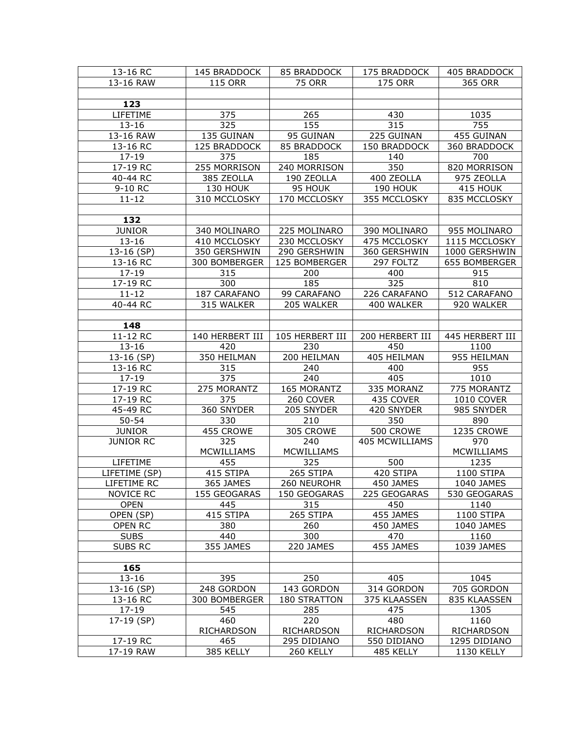| 13-16 RC              | 145 BRADDOCK      | 85 BRADDOCK              | 175 BRADDOCK             | 405 BRADDOCK                      |
|-----------------------|-------------------|--------------------------|--------------------------|-----------------------------------|
| 13-16 RAW             | <b>115 ORR</b>    | <b>75 ORR</b>            | <b>175 ORR</b>           | 365 ORR                           |
|                       |                   |                          |                          |                                   |
| 123                   |                   |                          |                          |                                   |
| LIFETIME              | 375               | 265                      | 430                      | 1035                              |
| $13 - 16$             | 325               | 155                      | 315                      | 755                               |
| 13-16 RAW             | 135 GUINAN        | 95 GUINAN                | 225 GUINAN               | 455 GUINAN                        |
| 13-16 RC              | 125 BRADDOCK      | 85 BRADDOCK              | 150 BRADDOCK             | 360 BRADDOCK                      |
| $17 - 19$             | 375               | 185                      | 140                      | 700                               |
| 17-19 RC              | 255 MORRISON      | 240 MORRISON             | 350                      | 820 MORRISON                      |
| 40-44 RC              | 385 ZEOLLA        | 190 ZEOLLA               | 400 ZEOLLA               | 975 ZEOLLA                        |
|                       | 130 HOUK          |                          |                          |                                   |
| 9-10 RC               |                   | 95 HOUK                  | 190 HOUK                 | 415 HOUK                          |
| $11 - 12$             | 310 MCCLOSKY      | 170 MCCLOSKY             | 355 MCCLOSKY             | 835 MCCLOSKY                      |
|                       |                   |                          |                          |                                   |
| 132                   |                   |                          |                          |                                   |
| <b>JUNIOR</b>         | 340 MOLINARO      | 225 MOLINARO             | 390 MOLINARO             | 955 MOLINARO                      |
| $13 - 16$             | 410 MCCLOSKY      | 230 MCCLOSKY             | 475 MCCLOSKY             | 1115 MCCLOSKY                     |
| 13-16 (SP)            | 350 GERSHWIN      | 290 GERSHWIN             | 360 GERSHWIN             | 1000 GERSHWIN                     |
| 13-16 RC              | 300 BOMBERGER     | 125 BOMBERGER            | 297 FOLTZ                | 655 BOMBERGER                     |
| $17 - 19$             | 315               | 200                      | 400                      | 915                               |
| 17-19 RC              | 300               | 185                      | 325                      | 810                               |
| $11 - 12$             | 187 CARAFANO      | 99 CARAFANO              | 226 CARAFANO             | 512 CARAFANO                      |
| 40-44 RC              | 315 WALKER        | 205 WALKER               | 400 WALKER               | 920 WALKER                        |
|                       |                   |                          |                          |                                   |
| 148                   |                   |                          |                          |                                   |
| 11-12 RC              | 140 HERBERT III   | 105 HERBERT III          | 200 HERBERT III          | 445 HERBERT III                   |
| $13 - 16$             | 420               | 230                      | 450                      | 1100                              |
| 13-16 (SP)            | 350 HEILMAN       | 200 HEILMAN              | 405 HEILMAN              | 955 HEILMAN                       |
|                       |                   |                          |                          |                                   |
|                       |                   |                          |                          |                                   |
| 13-16 RC              | 315               | 240                      | 400                      | 955                               |
| 17-19                 | 375               | 240                      | 405                      | 1010                              |
| 17-19 RC              | 275 MORANTZ       | 165 MORANTZ              | 335 MORANZ               | 775 MORANTZ                       |
| 17-19 RC              | 375               | 260 COVER                | 435 COVER                | 1010 COVER                        |
| 45-49 RC              | 360 SNYDER        | 205 SNYDER               | 420 SNYDER               | 985 SNYDER                        |
| $50 - 54$             | 330               | 210                      | 350                      | 890                               |
| <b>JUNIOR</b>         | 455 CROWE         | 305 CROWE                | 500 CROWE                | 1235 CROWE                        |
| <b>JUNIOR RC</b>      | 325               | 240                      | <b>405 MCWILLIAMS</b>    | 970                               |
|                       | <b>MCWILLIAMS</b> | <b>MCWILLIAMS</b>        |                          | MCWILLIAMS                        |
| LIFETIME              | 455               | 325                      | 500                      | 1235                              |
| LIFETIME (SP)         | 415 STIPA         | 265 STIPA                | 420 STIPA                | 1100 STIPA                        |
| LIFETIME RC           | 365 JAMES         | 260 NEUROHR              | 450 JAMES                | 1040 JAMES                        |
| NOVICE RC             | 155 GEOGARAS      | 150 GEOGARAS             | 225 GEOGARAS             | 530 GEOGARAS                      |
| <b>OPEN</b>           | 445               | 315                      | 450                      | 1140                              |
| OPEN (SP)             | 415 STIPA         | 265 STIPA                | 455 JAMES                | 1100 STIPA                        |
| OPEN RC               | 380               | 260                      | 450 JAMES                | 1040 JAMES                        |
| <b>SUBS</b>           | 440               | 300                      | 470                      | 1160                              |
| <b>SUBS RC</b>        | 355 JAMES         | 220 JAMES                | 455 JAMES                | 1039 JAMES                        |
|                       |                   |                          |                          |                                   |
| 165                   |                   |                          |                          |                                   |
| $13 - 16$             | 395               | 250                      | 405                      | 1045                              |
| 13-16 (SP)            | 248 GORDON        | 143 GORDON               | 314 GORDON               | 705 GORDON                        |
| 13-16 RC              | 300 BOMBERGER     | 180 STRATTON             | 375 KLAASSEN             | 835 KLAASSEN                      |
| $17 - 19$             | 545               | 285                      | 475                      | 1305                              |
| 17-19 (SP)            | 460               | 220                      | 480                      | 1160                              |
|                       | <b>RICHARDSON</b> | RICHARDSON               | <b>RICHARDSON</b>        | RICHARDSON                        |
| 17-19 RC<br>17-19 RAW | 465<br>385 KELLY  | 295 DIDIANO<br>260 KELLY | 550 DIDIANO<br>485 KELLY | 1295 DIDIANO<br><b>1130 KELLY</b> |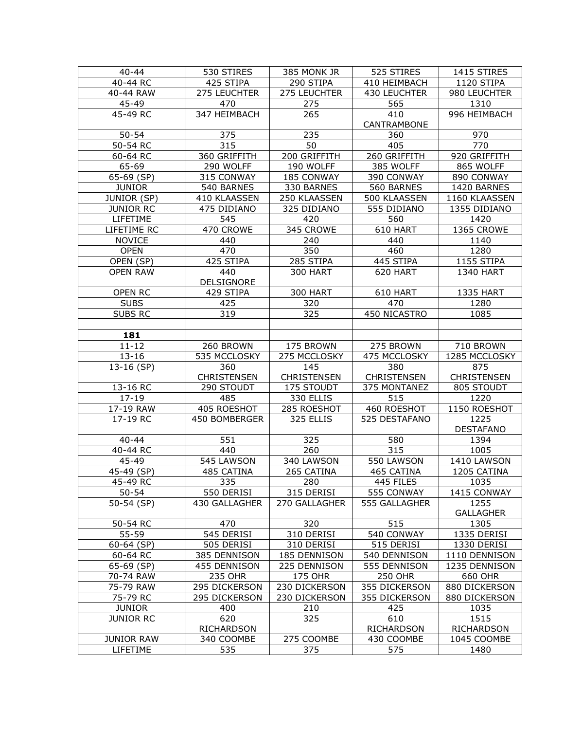| $40 - 44$         | 530 STIRES        | 385 MONK JR        | 525 STIRES     | 1415 STIRES       |
|-------------------|-------------------|--------------------|----------------|-------------------|
| 40-44 RC          | 425 STIPA         | 290 STIPA          | 410 HEIMBACH   | 1120 STIPA        |
| 40-44 RAW         | 275 LEUCHTER      | 275 LEUCHTER       | 430 LEUCHTER   | 980 LEUCHTER      |
| 45-49             | 470               | 275                | 565            | 1310              |
| 45-49 RC          | 347 HEIMBACH      | 265                | 410            | 996 HEIMBACH      |
|                   |                   |                    | CANTRAMBONE    |                   |
| $50 - 54$         | 375               | 235                | 360            | 970               |
| 50-54 RC          | 315               | 50                 | 405            | 770               |
| 60-64 RC          | 360 GRIFFITH      | 200 GRIFFITH       | 260 GRIFFITH   | 920 GRIFFITH      |
| 65-69             | 290 WOLFF         | 190 WOLFF          | 385 WOLFF      | 865 WOLFF         |
| 65-69 (SP)        | 315 CONWAY        | 185 CONWAY         | 390 CONWAY     | 890 CONWAY        |
| <b>JUNIOR</b>     | 540 BARNES        | 330 BARNES         | 560 BARNES     | 1420 BARNES       |
| JUNIOR (SP)       | 410 KLAASSEN      | 250 KLAASSEN       | 500 KLAASSEN   | 1160 KLAASSEN     |
| <b>JUNIOR RC</b>  | 475 DIDIANO       | 325 DIDIANO        | 555 DIDIANO    | 1355 DIDIANO      |
| LIFETIME          | 545               | 420                | 560            | 1420              |
| LIFETIME RC       | 470 CROWE         | 345 CROWE          | 610 HART       | 1365 CROWE        |
| <b>NOVICE</b>     | 440               | 240                | 440            | 1140              |
| <b>OPEN</b>       | 470               | 350                | 460            | 1280              |
| OPEN (SP)         | 425 STIPA         | 285 STIPA          | 445 STIPA      | 1155 STIPA        |
| <b>OPEN RAW</b>   | 440               | 300 HART           | 620 HART       | <b>1340 HART</b>  |
|                   | DELSIGNORE        |                    |                |                   |
| <b>OPEN RC</b>    | 429 STIPA         | <b>300 HART</b>    | 610 HART       | <b>1335 HART</b>  |
| <b>SUBS</b>       | 425               | 320                | 470            | 1280              |
| <b>SUBS RC</b>    | 319               | 325                | 450 NICASTRO   | 1085              |
|                   |                   |                    |                |                   |
| 181               |                   |                    |                |                   |
| $11 - 12$         | 260 BROWN         | 175 BROWN          | 275 BROWN      | 710 BROWN         |
| $13 - 16$         | 535 MCCLOSKY      | 275 MCCLOSKY       | 475 MCCLOSKY   | 1285 MCCLOSKY     |
| 13-16 (SP)        | 360               | 145                | 380            | 875               |
|                   | CHRISTENSEN       | <b>CHRISTENSEN</b> | CHRISTENSEN    | CHRISTENSEN       |
| 13-16 RC          | 290 STOUDT        | 175 STOUDT         | 375 MONTANEZ   | 805 STOUDT        |
| $17 - 19$         | 485               | 330 ELLIS          | 515            | 1220              |
| 17-19 RAW         | 405 ROESHOT       | 285 ROESHOT        | 460 ROESHOT    | 1150 ROESHOT      |
| 17-19 RC          | 450 BOMBERGER     | 325 ELLIS          | 525 DESTAFANO  | 1225              |
|                   |                   |                    |                | <b>DESTAFANO</b>  |
| $40 - 44$         | 551               | 325                | 580            | 1394              |
| 40-44 RC          | 440               | 260                | 315            | 1005              |
| 45-49             | 545 LAWSON        | 340 LAWSON         | 550 LAWSON     | 1410 LAWSON       |
| 45-49 (SP)        | 485 CATINA        | 265 CATINA         | 465 CATINA     | 1205 CATINA       |
| 45-49 RC          | 335.              | 280                | 445 FILES      | 1035              |
| $50 - 54$         | 550 DERISI        | 315 DERISI         | 555 CONWAY     | 1415 CONWAY       |
| 50-54 (SP)        | 430 GALLAGHER     | 270 GALLAGHER      | 555 GALLAGHER  | 1255              |
|                   |                   |                    |                | <b>GALLAGHER</b>  |
| 50-54 RC          | 470               | 320                | 515            | 1305              |
| 55-59             | 545 DERISI        | 310 DERISI         | 540 CONWAY     | 1335 DERISI       |
| $60 - 64$ (SP)    | 505 DERISI        | 310 DERISI         | 515 DERISI     | 1330 DERISI       |
| 60-64 RC          | 385 DENNISON      | 185 DENNISON       | 540 DENNISON   | 1110 DENNISON     |
| 65-69 (SP)        | 455 DENNISON      | 225 DENNISON       | 555 DENNISON   | 1235 DENNISON     |
| 70-74 RAW         | <b>235 OHR</b>    | <b>175 OHR</b>     | <b>250 OHR</b> | 660 OHR           |
| 75-79 RAW         | 295 DICKERSON     | 230 DICKERSON      | 355 DICKERSON  | 880 DICKERSON     |
| 75-79 RC          | 295 DICKERSON     | 230 DICKERSON      | 355 DICKERSON  | 880 DICKERSON     |
| <b>JUNIOR</b>     | 400               | 210                | 425            | 1035              |
| <b>JUNIOR RC</b>  | 620               | 325                | 610            | 1515              |
|                   | <b>RICHARDSON</b> |                    | RICHARDSON     | <b>RICHARDSON</b> |
| <b>JUNIOR RAW</b> | 340 COOMBE        | 275 COOMBE         | 430 COOMBE     | 1045 COOMBE       |
| LIFETIME          | 535               | 375                | 575            | 1480              |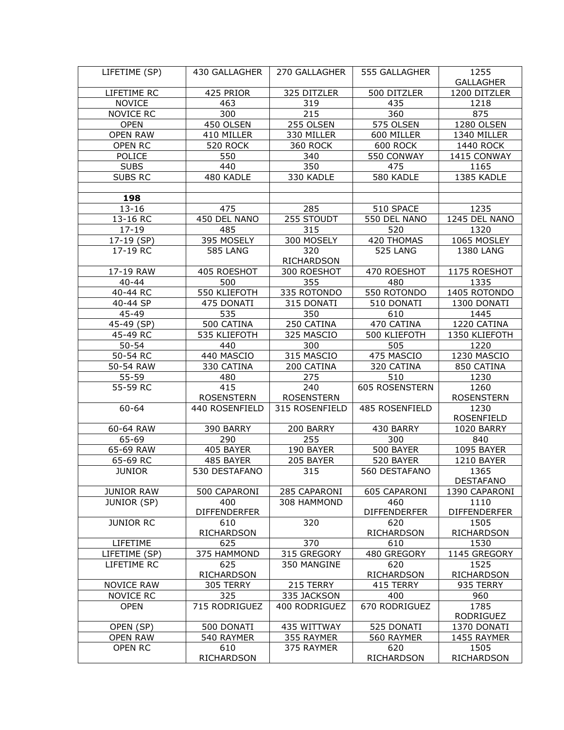| LIFETIME (SP)             | 430 GALLAGHER       | 270 GALLAGHER     | 555 GALLAGHER       | 1255                |
|---------------------------|---------------------|-------------------|---------------------|---------------------|
|                           |                     |                   |                     | <b>GALLAGHER</b>    |
| LIFETIME RC               | 425 PRIOR           | 325 DITZLER       | 500 DITZLER         | 1200 DITZLER        |
| <b>NOVICE</b>             | 463                 | 319               | 435                 | 1218                |
| <b>NOVICE RC</b>          | 300                 | 215               | 360                 | 875                 |
| <b>OPEN</b>               | 450 OLSEN           | 255 OLSEN         | 575 OLSEN           | 1280 OLSEN          |
| <b>OPEN RAW</b>           | 410 MILLER          | 330 MILLER        | 600 MILLER          | 1340 MILLER         |
| OPEN RC                   | <b>520 ROCK</b>     | <b>360 ROCK</b>   | 600 ROCK            | 1440 ROCK           |
| POLICE                    | 550                 | 340               | 550 CONWAY          | 1415 CONWAY         |
| <b>SUBS</b>               | 440                 | 350               | 475                 | 1165                |
| SUBS RC                   | 480 KADLE           | 330 KADLE         | 580 KADLE           | 1385 KADLE          |
| 198                       |                     |                   |                     |                     |
|                           |                     |                   |                     |                     |
| $13 - 16$                 | 475                 | 285               | 510 SPACE           | 1235                |
| 13-16 RC                  | 450 DEL NANO        | 255 STOUDT        | 550 DEL NANO        | 1245 DEL NANO       |
| $17 - 19$                 | 485                 | 315               | 520                 | 1320                |
| 17-19 (SP)                | 395 MOSELY          | 300 MOSELY        | 420 THOMAS          | 1065 MOSLEY         |
| 17-19 RC                  | <b>585 LANG</b>     | 320<br>RICHARDSON | 525 LANG            | 1380 LANG           |
| 17-19 RAW                 | 405 ROESHOT         | 300 ROESHOT       | 470 ROESHOT         | 1175 ROESHOT        |
| $40 - 44$                 | 500                 | 355               | 480                 | 1335                |
| 40-44 RC                  | 550 KLIEFOTH        | 335 ROTONDO       | 550 ROTONDO         | 1405 ROTONDO        |
| 40-44 SP                  | 475 DONATI          | 315 DONATI        | 510 DONATI          | 1300 DONATI         |
| 45-49                     | 535                 | 350               | 610                 | 1445                |
| $\overline{45} - 49$ (SP) | 500 CATINA          | 250 CATINA        | 470 CATINA          | 1220 CATINA         |
| 45-49 RC                  | 535 KLIEFOTH        | 325 MASCIO        | 500 KLIEFOTH        | 1350 KLIEFOTH       |
| $50 - 54$                 | 440                 | 300               | 505                 | 1220                |
| $\overline{50}$ -54 RC    | 440 MASCIO          | 315 MASCIO        | 475 MASCIO          | 1230 MASCIO         |
| 50-54 RAW                 | 330 CATINA          | 200 CATINA        | 320 CATINA          | 850 CATINA          |
| 55-59                     | 480                 | 275               | 510                 | 1230                |
| 55-59 RC                  | 415                 | 240               | 605 ROSENSTERN      | 1260                |
|                           | <b>ROSENSTERN</b>   | <b>ROSENSTERN</b> |                     | <b>ROSENSTERN</b>   |
| 60-64                     | 440 ROSENFIELD      | 315 ROSENFIELD    | 485 ROSENFIELD      | 1230                |
|                           |                     |                   |                     | <b>ROSENFIELD</b>   |
| 60-64 RAW                 | 390 BARRY           | 200 BARRY         | 430 BARRY           | 1020 BARRY          |
| 65-69                     | 290                 | 255               | 300                 | 840                 |
| 65-69 RAW                 | 405 BAYER           | 190 BAYER         | 500 BAYER           | 1095 BAYER          |
| 65-69 RC                  | 485 BAYER           | 205 BAYER         | 520 BAYER           | <b>1210 BAYER</b>   |
| <b>JUNIOR</b>             | 530 DESTAFANO       | 315               | 560 DESTAFANO       | 1365                |
|                           |                     |                   |                     | <b>DESTAFANO</b>    |
| <b>JUNIOR RAW</b>         | 500 CAPARONI        | 285 CAPARONI      | 605 CAPARONI        | 1390 CAPARONI       |
| JUNIOR (SP)               | 400                 | 308 HAMMOND       | 460                 | 1110                |
|                           | <b>DIFFENDERFER</b> |                   | <b>DIFFENDERFER</b> | <b>DIFFENDERFER</b> |
| <b>JUNIOR RC</b>          | 610                 | 320               | 620                 | 1505                |
|                           | RICHARDSON          |                   | <b>RICHARDSON</b>   | RICHARDSON          |
| LIFETIME                  | 625                 | 370               | 610                 | 1530                |
| LIFETIME (SP)             | 375 HAMMOND         | 315 GREGORY       | 480 GREGORY         | 1145 GREGORY        |
| LIFETIME RC               | 625                 | 350 MANGINE       | 620                 | 1525                |
|                           | RICHARDSON          |                   | RICHARDSON          | RICHARDSON          |
| <b>NOVICE RAW</b>         | 305 TERRY           | 215 TERRY         | 415 TERRY           | 935 TERRY           |
| <b>NOVICE RC</b>          | 325                 | 335 JACKSON       | 400                 | 960                 |
| <b>OPEN</b>               | 715 RODRIGUEZ       | 400 RODRIGUEZ     | 670 RODRIGUEZ       | 1785                |
|                           |                     |                   |                     | RODRIGUEZ           |
| OPEN (SP)                 | 500 DONATI          | 435 WITTWAY       | 525 DONATI          | 1370 DONATI         |
| <b>OPEN RAW</b>           | 540 RAYMER          | 355 RAYMER        | 560 RAYMER          | 1455 RAYMER         |
| OPEN RC                   | 610                 | 375 RAYMER        | 620                 | 1505                |
|                           | RICHARDSON          |                   | <b>RICHARDSON</b>   | <b>RICHARDSON</b>   |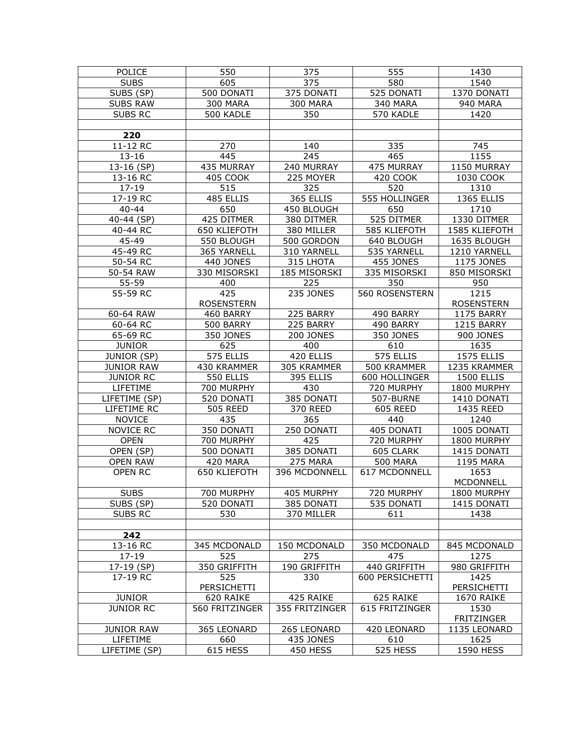| POLICE             | 550               | 375              | 555              | 1430              |
|--------------------|-------------------|------------------|------------------|-------------------|
| <b>SUBS</b>        | 605               | 375              | 580              | 1540              |
| SUBS (SP)          | 500 DONATI        | 375 DONATI       | 525 DONATI       | 1370 DONATI       |
| <b>SUBS RAW</b>    | <b>300 MARA</b>   | 300 MARA         | 340 MARA         | 940 MARA          |
| <b>SUBS RC</b>     | 500 KADLE         | 350              | 570 KADLE        | 1420              |
|                    |                   |                  |                  |                   |
| 220                |                   |                  |                  |                   |
| 11-12 RC           | 270               | 140              | 335              | 745               |
| $13 - 16$          | 445               | 245              | 465              | 1155              |
| 13-16 (SP)         | 435 MURRAY        | 240 MURRAY       | 475 MURRAY       | 1150 MURRAY       |
| 13-16 RC           | 405 COOK          | 225 MOYER        | 420 COOK         | 1030 COOK         |
| $17 - 19$          | 515               | 325              | 520              | 1310              |
| 17-19 RC           | 485 ELLIS         | 365 ELLIS        | 555 HOLLINGER    | 1365 ELLIS        |
| $40 - 44$          | 650               | 450 BLOUGH       | 650              | 1710              |
| 40-44 (SP)         | 425 DITMER        | 380 DITMER       | 525 DITMER       | 1330 DITMER       |
| 40-44 RC           | 650 KLIEFOTH      | 380 MILLER       | 585 KLIEFOTH     | 1585 KLIEFOTH     |
| 45-49              | 550 BLOUGH        | 500 GORDON       | 640 BLOUGH       | 1635 BLOUGH       |
| 45-49 RC           | 365 YARNELL       | 310 YARNELL      | 535 YARNELL      | 1210 YARNELL      |
| 50-54 RC           | 440 JONES         | 315 LHOTA        | <b>455 JONES</b> | 1175 JONES        |
| 50-54 RAW          | 330 MISORSKI      | 185 MISORSKI     | 335 MISORSKI     | 850 MISORSKI      |
| 55-59              | 400               | 225              | 350              | 950               |
| 55-59 RC           | 425               | <b>235 JONES</b> | 560 ROSENSTERN   | 1215              |
|                    | <b>ROSENSTERN</b> |                  |                  | <b>ROSENSTERN</b> |
| 60-64 RAW          | 460 BARRY         | 225 BARRY        | 490 BARRY        | 1175 BARRY        |
| 60-64 RC           | 500 BARRY         | 225 BARRY        | 490 BARRY        | 1215 BARRY        |
| 65-69 RC           | 350 JONES         | <b>200 JONES</b> | 350 JONES        | <b>900 JONES</b>  |
| <b>JUNIOR</b>      | 625               | 400              | 610              | 1635              |
| <b>JUNIOR (SP)</b> | 575 ELLIS         | 420 ELLIS        | 575 ELLIS        | 1575 ELLIS        |
| <b>JUNIOR RAW</b>  | 430 KRAMMER       | 305 KRAMMER      | 500 KRAMMER      | 1235 KRAMMER      |
| <b>JUNIOR RC</b>   | 550 ELLIS         | 395 ELLIS        | 600 HOLLINGER    | 1500 ELLIS        |
| LIFETIME           | 700 MURPHY        | 430              | 720 MURPHY       | 1800 MURPHY       |
| LIFETIME (SP)      | 520 DONATI        | 385 DONATI       | 507-BURNE        | 1410 DONATI       |
| LIFETIME RC        | <b>505 REED</b>   | 370 REED         | <b>605 REED</b>  | 1435 REED         |
| <b>NOVICE</b>      | 435               | 365              | 440              | 1240              |
| <b>NOVICE RC</b>   | 350 DONATI        | 250 DONATI       | 405 DONATI       | 1005 DONATI       |
| <b>OPEN</b>        | 700 MURPHY        | 425              | 720 MURPHY       | 1800 MURPHY       |
| OPEN (SP)          | 500 DONATI        | 385 DONATI       | 605 CLARK        | 1415 DONATI       |
| <b>OPEN RAW</b>    | 420 MARA          | 275 MARA         | <b>500 MARA</b>  | <b>1195 MARA</b>  |
| <b>OPEN RC</b>     | 650 KLIEFOTH      | 396 MCDONNELL    | 617 MCDONNELL    | 1653              |
|                    |                   |                  |                  | <b>MCDONNELL</b>  |
| <b>SUBS</b>        | 700 MURPHY        | 405 MURPHY       | 720 MURPHY       | 1800 MURPHY       |
| SUBS (SP)          | 520 DONATI        | 385 DONATI       | 535 DONATI       | 1415 DONATI       |
| <b>SUBS RC</b>     | 530               | 370 MILLER       | 611              | 1438              |
|                    |                   |                  |                  |                   |
| 242                |                   |                  |                  |                   |
| 13-16 RC           | 345 MCDONALD      | 150 MCDONALD     | 350 MCDONALD     | 845 MCDONALD      |
| $17 - 19$          | 525               | 275              | 475              | 1275              |
| 17-19 (SP)         | 350 GRIFFITH      | 190 GRIFFITH     | 440 GRIFFITH     | 980 GRIFFITH      |
| 17-19 RC           | 525               | 330              | 600 PERSICHETTI  | 1425              |
|                    | PERSICHETTI       |                  |                  | PERSICHETTI       |
| <b>JUNIOR</b>      | 620 RAIKE         | 425 RAIKE        | 625 RAIKE        | 1670 RAIKE        |
| <b>JUNIOR RC</b>   | 560 FRITZINGER    | 355 FRITZINGER   | 615 FRITZINGER   | 1530              |
|                    |                   |                  |                  | <b>FRITZINGER</b> |
| <b>JUNIOR RAW</b>  | 365 LEONARD       | 265 LEONARD      | 420 LEONARD      | 1135 LEONARD      |
| LIFETIME           | 660               | 435 JONES        | 610              | 1625              |
| LIFETIME (SP)      | 615 HESS          | 450 HESS         | <b>525 HESS</b>  | 1590 HESS         |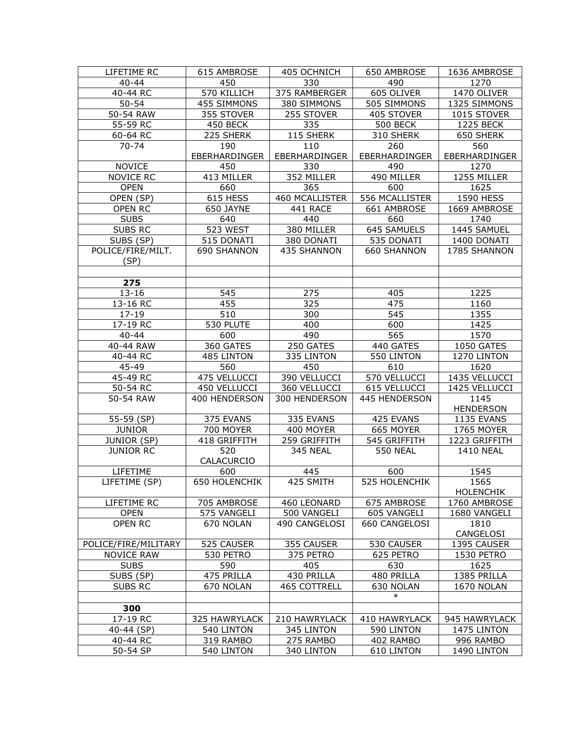| $40 - 44$<br>450<br>330<br>490<br>1270<br>570 KILLICH<br>605 OLIVER<br>1470 OLIVER<br>40-44 RC<br>375 RAMBERGER<br>$50 - 54$<br>455 SIMMONS<br>380 SIMMONS<br>505 SIMMONS<br>1325 SIMMONS<br>50-54 RAW<br>355 STOVER<br>255 STOVER<br>405 STOVER<br>1015 STOVER<br>55-59 RC<br><b>500 BECK</b><br>1225 BECK |  |
|-------------------------------------------------------------------------------------------------------------------------------------------------------------------------------------------------------------------------------------------------------------------------------------------------------------|--|
|                                                                                                                                                                                                                                                                                                             |  |
|                                                                                                                                                                                                                                                                                                             |  |
|                                                                                                                                                                                                                                                                                                             |  |
|                                                                                                                                                                                                                                                                                                             |  |
| 450 BECK<br>335                                                                                                                                                                                                                                                                                             |  |
| 225 SHERK<br>115 SHERK<br>650 SHERK<br>60-64 RC<br>310 SHERK                                                                                                                                                                                                                                                |  |
| $70 - 74$<br>110<br>560<br>190<br>260                                                                                                                                                                                                                                                                       |  |
| EBERHARDINGER<br>EBERHARDINGER<br>EBERHARDINGER<br>EBERHARDINGER                                                                                                                                                                                                                                            |  |
| <b>NOVICE</b><br>450<br>330<br>490<br>1270                                                                                                                                                                                                                                                                  |  |
| 352 MILLER<br>490 MILLER<br><b>NOVICE RC</b><br>413 MILLER<br>1255 MILLER                                                                                                                                                                                                                                   |  |
| <b>OPEN</b><br>660<br>365<br>600<br>1625                                                                                                                                                                                                                                                                    |  |
| 460 MCALLISTER<br>OPEN (SP)<br>615 HESS<br>556 MCALLISTER<br>1590 HESS                                                                                                                                                                                                                                      |  |
| OPEN RC<br>650 JAYNE<br>441 RACE<br>661 AMBROSE<br>1669 AMBROSE                                                                                                                                                                                                                                             |  |
| <b>SUBS</b><br>640<br>440<br>660<br>1740                                                                                                                                                                                                                                                                    |  |
| 380 MILLER<br><b>SUBS RC</b><br>523 WEST<br>645 SAMUELS<br>1445 SAMUEL                                                                                                                                                                                                                                      |  |
| SUBS (SP)<br>515 DONATI<br>380 DONATI<br>535 DONATI<br>1400 DONATI                                                                                                                                                                                                                                          |  |
| POLICE/FIRE/MILT.<br>690 SHANNON<br>435 SHANNON<br>660 SHANNON<br>1785 SHANNON                                                                                                                                                                                                                              |  |
| (SP)                                                                                                                                                                                                                                                                                                        |  |
|                                                                                                                                                                                                                                                                                                             |  |
| 275                                                                                                                                                                                                                                                                                                         |  |
| 545<br>275<br>1225<br>$13 - 16$<br>405                                                                                                                                                                                                                                                                      |  |
| 455<br>325<br>475<br>13-16 RC<br>1160                                                                                                                                                                                                                                                                       |  |
| 510<br>545<br>1355<br>$17 - 19$<br>300                                                                                                                                                                                                                                                                      |  |
| 17-19 RC<br>600<br>530 PLUTE<br>400<br>1425                                                                                                                                                                                                                                                                 |  |
| 565<br>490<br>1570<br>$40 - 44$<br>600                                                                                                                                                                                                                                                                      |  |
| 40-44 RAW<br>360 GATES<br>250 GATES<br>440 GATES<br>1050 GATES                                                                                                                                                                                                                                              |  |
| 40-44 RC<br>485 LINTON<br>335 LINTON<br>550 LINTON<br>1270 LINTON                                                                                                                                                                                                                                           |  |
| 45-49<br>560<br>450<br>610<br>1620                                                                                                                                                                                                                                                                          |  |
| 45-49 RC<br>475 VELLUCCI<br>390 VELLUCCI<br>570 VELLUCCI<br>1435 VELLUCCI                                                                                                                                                                                                                                   |  |
| 50-54 RC<br>450 VELLUCCI<br>360 VELLUCCI<br>615 VELLUCCI<br>1425 VELLUCCI                                                                                                                                                                                                                                   |  |
| 50-54 RAW<br>400 HENDERSON<br>300 HENDERSON<br>445 HENDERSON<br>1145                                                                                                                                                                                                                                        |  |
| <b>HENDERSON</b>                                                                                                                                                                                                                                                                                            |  |
| 55-59 (SP)<br>375 EVANS<br>335 EVANS<br>425 EVANS<br><b>1135 EVANS</b>                                                                                                                                                                                                                                      |  |
| <b>JUNIOR</b><br>700 MOYER<br>400 MOYER<br>665 MOYER<br>1765 MOYER                                                                                                                                                                                                                                          |  |
| JUNIOR (SP)<br>259 GRIFFITH<br>418 GRIFFITH<br>545 GRIFFITH<br>1223 GRIFFITH                                                                                                                                                                                                                                |  |
| <b>JUNIOR RC</b><br>520<br>345 NEAL<br><b>550 NEAL</b><br><b>1410 NEAL</b>                                                                                                                                                                                                                                  |  |
| CALACURCIO                                                                                                                                                                                                                                                                                                  |  |
| LIFETIME<br>600<br>445<br>600<br>1545                                                                                                                                                                                                                                                                       |  |
| 525 HOLENCHIK<br>1565<br>LIFETIME (SP)<br>650 HOLENCHIK<br>425 SMITH                                                                                                                                                                                                                                        |  |
| <b>HOLENCHIK</b>                                                                                                                                                                                                                                                                                            |  |
| LIFETIME RC<br>705 AMBROSE<br>460 LEONARD<br>675 AMBROSE<br>1760 AMBROSE                                                                                                                                                                                                                                    |  |
| 500 VANGELI<br><b>OPEN</b><br>575 VANGELI<br>605 VANGELI<br>1680 VANGELI                                                                                                                                                                                                                                    |  |
| <b>OPEN RC</b><br>670 NOLAN<br>490 CANGELOSI<br>660 CANGELOSI<br>1810                                                                                                                                                                                                                                       |  |
| CANGELOSI                                                                                                                                                                                                                                                                                                   |  |
| 355 CAUSER<br>1395 CAUSER<br>POLICE/FIRE/MILITARY<br>525 CAUSER<br>530 CAUSER                                                                                                                                                                                                                               |  |
| <b>NOVICE RAW</b><br>530 PETRO<br>625 PETRO<br>375 PETRO<br>1530 PETRO                                                                                                                                                                                                                                      |  |
| <b>SUBS</b><br>590<br>405<br>630<br>1625                                                                                                                                                                                                                                                                    |  |
| 475 PRILLA<br>430 PRILLA<br>480 PRILLA<br>SUBS (SP)<br>1385 PRILLA                                                                                                                                                                                                                                          |  |
| 630 NOLAN<br>670 NOLAN<br>465 COTTRELL<br>1670 NOLAN<br><b>SUBS RC</b>                                                                                                                                                                                                                                      |  |
|                                                                                                                                                                                                                                                                                                             |  |
| $\ast$                                                                                                                                                                                                                                                                                                      |  |
|                                                                                                                                                                                                                                                                                                             |  |
| 300                                                                                                                                                                                                                                                                                                         |  |
| 17-19 RC<br>325 HAWRYLACK<br>210 HAWRYLACK<br>410 HAWRYLACK<br>945 HAWRYLACK                                                                                                                                                                                                                                |  |
| 40-44 (SP)<br>1475 LINTON<br>540 LINTON<br>345 LINTON<br>590 LINTON<br>40-44 RC<br>319 RAMBO<br>275 RAMBO<br>402 RAMBO<br>996 RAMBO                                                                                                                                                                         |  |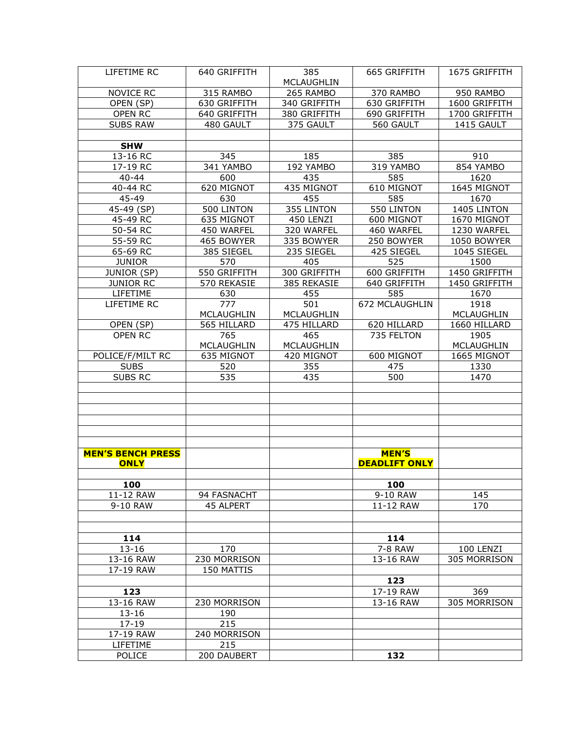| LIFETIME RC              | 640 GRIFFITH | 385               | 665 GRIFFITH         | 1675 GRIFFITH |
|--------------------------|--------------|-------------------|----------------------|---------------|
|                          |              | <b>MCLAUGHLIN</b> |                      |               |
| NOVICE RC                | 315 RAMBO    | 265 RAMBO         | 370 RAMBO            | 950 RAMBO     |
| OPEN (SP)                | 630 GRIFFITH | 340 GRIFFITH      | 630 GRIFFITH         | 1600 GRIFFITH |
| OPEN RC                  | 640 GRIFFITH | 380 GRIFFITH      | 690 GRIFFITH         | 1700 GRIFFITH |
| <b>SUBS RAW</b>          | 480 GAULT    | 375 GAULT         | 560 GAULT            | 1415 GAULT    |
|                          |              |                   |                      |               |
| <b>SHW</b>               |              |                   |                      |               |
| 13-16 RC                 | 345          | 185               | 385                  | 910           |
| 17-19 RC                 | 341 YAMBO    | 192 YAMBO         | 319 YAMBO            | 854 YAMBO     |
| $40 - 44$                | 600          | 435               | 585                  | 1620          |
| 40-44 RC                 | 620 MIGNOT   | 435 MIGNOT        | 610 MIGNOT           | 1645 MIGNOT   |
| 45-49                    | 630          | 455               | 585                  | 1670          |
| 45-49 (SP)               | 500 LINTON   | 355 LINTON        | 550 LINTON           | 1405 LINTON   |
| 45-49 RC                 | 635 MIGNOT   | 450 LENZI         | 600 MIGNOT           | 1670 MIGNOT   |
| 50-54 RC                 | 450 WARFEL   | 320 WARFEL        | 460 WARFEL           | 1230 WARFEL   |
| 55-59 RC                 | 465 BOWYER   | 335 BOWYER        | 250 BOWYER           | 1050 BOWYER   |
| 65-69 RC                 | 385 SIEGEL   | 235 SIEGEL        | 425 SIEGEL           | 1045 SIEGEL   |
| <b>JUNIOR</b>            | 570          | 405               | 525                  | 1500          |
| JUNIOR (SP)              | 550 GRIFFITH | 300 GRIFFITH      | 600 GRIFFITH         | 1450 GRIFFITH |
| <b>JUNIOR RC</b>         | 570 REKASIE  | 385 REKASIE       | 640 GRIFFITH         | 1450 GRIFFITH |
| LIFETIME                 | 630          | 455               | 585                  | 1670          |
| LIFETIME RC              | 777          | 501               | 672 MCLAUGHLIN       | 1918          |
|                          | MCLAUGHLIN   | MCLAUGHLIN        |                      | MCLAUGHLIN    |
| OPEN (SP)                | 565 HILLARD  | 475 HILLARD       | 620 HILLARD          | 1660 HILLARD  |
| OPEN RC                  | 765          | 465               | 735 FELTON           | 1905          |
|                          | MCLAUGHLIN   | <b>MCLAUGHLIN</b> |                      | MCLAUGHLIN    |
| POLICE/F/MILT RC         | 635 MIGNOT   | 420 MIGNOT        | 600 MIGNOT           | 1665 MIGNOT   |
| <b>SUBS</b>              | 520          | 355               | 475                  | 1330          |
| SUBS RC                  | 535          | 435               | 500                  | 1470          |
|                          |              |                   |                      |               |
|                          |              |                   |                      |               |
|                          |              |                   |                      |               |
|                          |              |                   |                      |               |
|                          |              |                   |                      |               |
|                          |              |                   |                      |               |
| <b>MEN'S BENCH PRESS</b> |              |                   | <b>MEN'S</b>         |               |
| <b>ONLY</b>              |              |                   | <b>DEADLIFT ONLY</b> |               |
|                          |              |                   |                      |               |
| 100                      |              |                   | 100                  |               |
| 11-12 RAW                | 94 FASNACHT  |                   | 9-10 RAW             | 145           |
| 9-10 RAW                 | 45 ALPERT    |                   | 11-12 RAW            | 170           |
|                          |              |                   |                      |               |
|                          |              |                   |                      |               |
| 114                      |              |                   | 114                  |               |
| $13 - 16$                | 170          |                   | 7-8 RAW              | 100 LENZI     |
| 13-16 RAW                | 230 MORRISON |                   | 13-16 RAW            | 305 MORRISON  |
| 17-19 RAW                | 150 MATTIS   |                   |                      |               |
|                          |              |                   | 123                  |               |
| 123                      |              |                   | 17-19 RAW            | 369           |
| 13-16 RAW                | 230 MORRISON |                   | 13-16 RAW            | 305 MORRISON  |
| $13 - 16$                | 190          |                   |                      |               |
| $17 - 19$                | 215          |                   |                      |               |
| 17-19 RAW                | 240 MORRISON |                   |                      |               |
| LIFETIME                 | 215          |                   |                      |               |
| POLICE                   | 200 DAUBERT  |                   | 132                  |               |
|                          |              |                   |                      |               |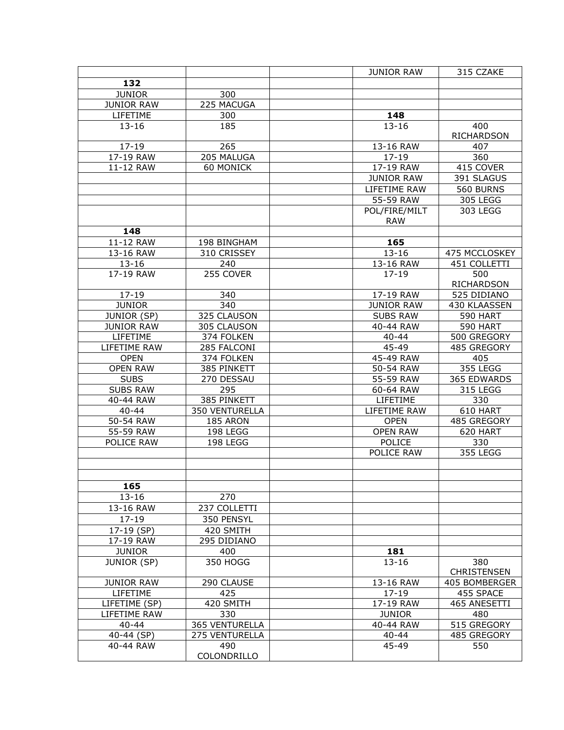|                               |                    | <b>JUNIOR RAW</b>      | 315 CZAKE                  |
|-------------------------------|--------------------|------------------------|----------------------------|
| 132                           |                    |                        |                            |
| <b>JUNIOR</b>                 | 300                |                        |                            |
| <b>JUNIOR RAW</b>             | 225 MACUGA         |                        |                            |
| LIFETIME                      | 300                | 148                    |                            |
| $13 - 16$                     | 185                | $13 - 16$              | 400                        |
|                               |                    |                        | <b>RICHARDSON</b>          |
| $17 - 19$                     | 265                | 13-16 RAW              | 407                        |
| 17-19 RAW                     | 205 MALUGA         | $17 - 19$              | 360                        |
| 11-12 RAW                     | 60 MONICK          | 17-19 RAW              | 415 COVER                  |
|                               |                    | <b>JUNIOR RAW</b>      | 391 SLAGUS                 |
|                               |                    | LIFETIME RAW           | 560 BURNS                  |
|                               |                    | 55-59 RAW              | 305 LEGG                   |
|                               |                    | POL/FIRE/MILT          | 303 LEGG                   |
|                               |                    | <b>RAW</b>             |                            |
| 148                           |                    |                        |                            |
| 11-12 RAW                     | 198 BINGHAM        | 165                    |                            |
| 13-16 RAW                     | 310 CRISSEY        | $13 - 16$              | 475 MCCLOSKEY              |
| $13 - 16$                     | 240                | 13-16 RAW              | 451 COLLETTI               |
| 17-19 RAW                     | 255 COVER          | $17 - 19$              | 500                        |
|                               |                    |                        | <b>RICHARDSON</b>          |
| $17 - 19$                     | 340                | 17-19 RAW              | 525 DIDIANO                |
| <b>JUNIOR</b>                 | 340                | <b>JUNIOR RAW</b>      | 430 KLAASSEN               |
| <b>JUNIOR (SP)</b>            | 325 CLAUSON        | <b>SUBS RAW</b>        | <b>590 HART</b>            |
| <b>JUNIOR RAW</b>             | 305 CLAUSON        | 40-44 RAW              | <b>590 HART</b>            |
| LIFETIME                      | 374 FOLKEN         | $40 - 44$              | 500 GREGORY                |
| LIFETIME RAW                  | 285 FALCONI        | 45-49                  | 485 GREGORY                |
| <b>OPEN</b>                   | 374 FOLKEN         | 45-49 RAW              | 405                        |
| <b>OPEN RAW</b>               | 385 PINKETT        | 50-54 RAW              | 355 LEGG                   |
| <b>SUBS</b>                   | 270 DESSAU         | 55-59 RAW              | 365 EDWARDS                |
| <b>SUBS RAW</b>               | 295                | 60-64 RAW              | 315 LEGG                   |
| 40-44 RAW                     | 385 PINKETT        | LIFETIME               | 330                        |
| $40 - 44$                     | 350 VENTURELLA     | LIFETIME RAW           | 610 HART                   |
| 50-54 RAW                     | 185 ARON           | <b>OPEN</b>            | 485 GREGORY                |
| 55-59 RAW                     | 198 LEGG           | <b>OPEN RAW</b>        | 620 HART                   |
| POLICE RAW                    | 198 LEGG           | POLICE                 | 330                        |
|                               |                    | POLICE RAW             | <b>355 LEGG</b>            |
|                               |                    |                        |                            |
|                               |                    |                        |                            |
| 165                           |                    |                        |                            |
| $13 - 16$                     | 270                |                        |                            |
| 13-16 RAW                     | 237 COLLETTI       |                        |                            |
| $17 - 19$                     | 350 PENSYL         |                        |                            |
| 17-19 (SP)                    | 420 SMITH          |                        |                            |
| 17-19 RAW                     | 295 DIDIANO        |                        |                            |
| <b>JUNIOR</b>                 | 400                | 181                    |                            |
|                               |                    | $13 - 16$              |                            |
| JUNIOR (SP)                   | 350 HOGG           |                        | 380                        |
|                               |                    |                        | <b>CHRISTENSEN</b>         |
| <b>JUNIOR RAW</b><br>LIFETIME | 290 CLAUSE<br>425  | 13-16 RAW              | 405 BOMBERGER<br>455 SPACE |
|                               | 420 SMITH          | $17 - 19$<br>17-19 RAW | 465 ANESETTI               |
| LIFETIME (SP)                 |                    |                        |                            |
| LIFETIME RAW                  | 330                | <b>JUNIOR</b>          | 480                        |
| $40 - 44$                     | 365 VENTURELLA     | 40-44 RAW              | 515 GREGORY                |
| 40-44 (SP)                    | 275 VENTURELLA     | $40 - 44$<br>45-49     | 485 GREGORY                |
| 40-44 RAW                     | 490<br>COLONDRILLO |                        | 550                        |
|                               |                    |                        |                            |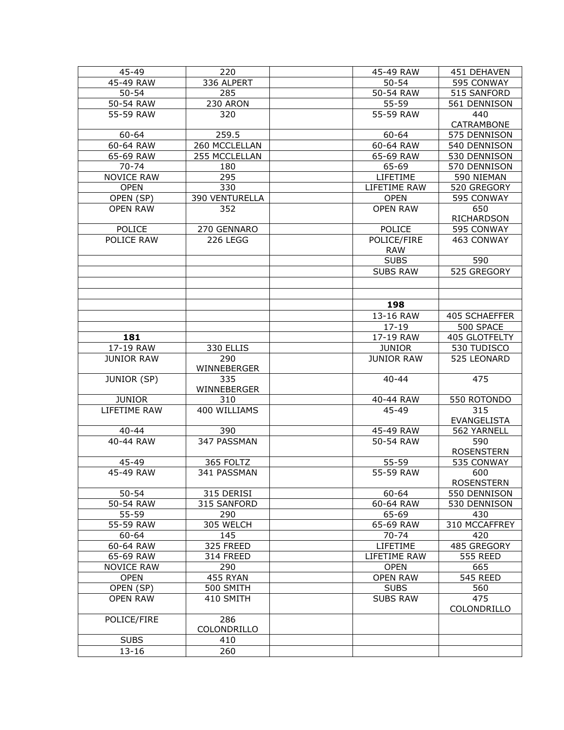| $45 - 49$                        | 220                   | 45-49 RAW                          | 451 DEHAVEN                |
|----------------------------------|-----------------------|------------------------------------|----------------------------|
| 45-49 RAW                        | 336 ALPERT            | $50 - 54$                          | 595 CONWAY                 |
| $50 - 54$                        | 285                   | 50-54 RAW                          | 515 SANFORD                |
| 50-54 RAW                        | 230 ARON              | $55 - 59$                          | 561 DENNISON               |
| 55-59 RAW                        | 320                   | 55-59 RAW                          | 440                        |
|                                  |                       |                                    | CATRAMBONE                 |
| 60-64                            | 259.5                 | 60-64                              | 575 DENNISON               |
| 60-64 RAW                        | 260 MCCLELLAN         | 60-64 RAW                          | 540 DENNISON               |
| 65-69 RAW                        | 255 MCCLELLAN         | 65-69 RAW                          | 530 DENNISON               |
| 70-74                            | 180                   | 65-69                              | 570 DENNISON               |
| <b>NOVICE RAW</b>                | 295                   | LIFETIME                           | 590 NIEMAN                 |
| <b>OPEN</b>                      | 330                   | LIFETIME RAW                       | 520 GREGORY                |
| OPEN (SP)                        | <b>390 VENTURELLA</b> | <b>OPEN</b>                        | 595 CONWAY                 |
| <b>OPEN RAW</b>                  | 352                   | <b>OPEN RAW</b>                    | 650                        |
|                                  |                       |                                    | RICHARDSON                 |
| POLICE                           | 270 GENNARO           | <b>POLICE</b>                      | 595 CONWAY                 |
| POLICE RAW                       | 226 LEGG              | POLICE/FIRE                        | 463 CONWAY                 |
|                                  |                       | <b>RAW</b>                         |                            |
|                                  |                       | <b>SUBS</b>                        | 590                        |
|                                  |                       | <b>SUBS RAW</b>                    | 525 GREGORY                |
|                                  |                       |                                    |                            |
|                                  |                       |                                    |                            |
|                                  |                       | 198                                |                            |
|                                  |                       | 13-16 RAW                          | 405 SCHAEFFER              |
|                                  |                       | $17 - 19$                          | 500 SPACE                  |
| 181                              |                       | 17-19 RAW                          | 405 GLOTFELTY              |
| 17-19 RAW                        | 330 ELLIS             |                                    |                            |
| <b>JUNIOR RAW</b>                | 290                   | <b>JUNIOR</b><br><b>JUNIOR RAW</b> | 530 TUDISCO<br>525 LEONARD |
|                                  | WINNEBERGER           |                                    |                            |
| <b>JUNIOR (SP)</b>               | 335                   | $40 - 44$                          | 475                        |
|                                  | WINNEBERGER           |                                    |                            |
| <b>JUNIOR</b>                    | 310                   | 40-44 RAW                          | 550 ROTONDO                |
| LIFETIME RAW                     | 400 WILLIAMS          | 45-49                              | 315                        |
|                                  |                       |                                    | EVANGELISTA                |
| $40 - 44$                        | 390                   | 45-49 RAW                          | 562 YARNELL                |
| 40-44 RAW                        | 347 PASSMAN           | 50-54 RAW                          | 590                        |
|                                  |                       |                                    | <b>ROSENSTERN</b>          |
| 45-49                            | 365 FOLTZ             | 55-59                              | 535 CONWAY                 |
| 45-49 RAW                        | 341 PASSMAN           | 55-59 RAW                          | 600                        |
|                                  |                       |                                    | <b>ROSENSTERN</b>          |
| $50 - 54$                        | 315 DERISI            | $60 - 64$                          | 550 DENNISON               |
| 50-54 RAW                        | 315 SANFORD           | 60-64 RAW                          | 530 DENNISON               |
| 55-59                            | 290                   | 65-69                              | 430                        |
| 55-59 RAW                        | 305 WELCH             | 65-69 RAW                          | 310 MCCAFFREY              |
| $60 - 64$                        | 145                   | $70 - 74$                          | 420                        |
| 60-64 RAW                        | 325 FREED             | LIFETIME                           | 485 GREGORY                |
| 65-69 RAW                        | 314 FREED             | LIFETIME RAW                       | <b>555 REED</b>            |
|                                  |                       |                                    |                            |
| <b>NOVICE RAW</b><br><b>OPEN</b> | 290<br>455 RYAN       | <b>OPEN</b><br><b>OPEN RAW</b>     | 665<br><b>545 REED</b>     |
|                                  |                       |                                    |                            |
| OPEN (SP)                        | 500 SMITH             | <b>SUBS</b>                        | 560                        |
| <b>OPEN RAW</b>                  | 410 SMITH             | <b>SUBS RAW</b>                    | 475                        |
|                                  | 286                   |                                    | COLONDRILLO                |
| POLICE/FIRE                      | COLONDRILLO           |                                    |                            |
|                                  |                       |                                    |                            |
| <b>SUBS</b>                      | 410                   |                                    |                            |
| $13 - 16$                        | 260                   |                                    |                            |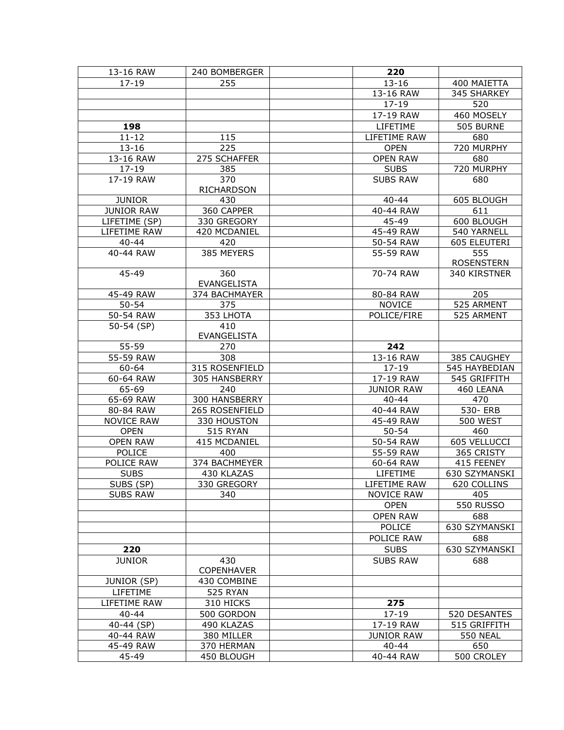| $17 - 19$<br>255<br>$13 - 16$<br>400 MAIETTA<br>13-16 RAW<br>345 SHARKEY<br>$17 - 19$<br>520<br>17-19 RAW<br>460 MOSELY<br>LIFETIME<br>505 BURNE<br>198<br>$11 - 12$<br>115<br>680<br>LIFETIME RAW<br>225<br>720 MURPHY<br>$13 - 16$<br><b>OPEN</b><br>13-16 RAW<br>275 SCHAFFER<br><b>OPEN RAW</b><br>680<br>720 MURPHY<br>$17 - 19$<br>385<br><b>SUBS</b><br>17-19 RAW<br>370<br><b>SUBS RAW</b><br>680<br><b>RICHARDSON</b><br><b>JUNIOR</b><br>605 BLOUGH<br>430<br>$40 - 44$<br>360 CAPPER<br><b>JUNIOR RAW</b><br>40-44 RAW<br>611<br>LIFETIME (SP)<br>330 GREGORY<br>45-49<br>600 BLOUGH<br>LIFETIME RAW<br>420 MCDANIEL<br>45-49 RAW<br>540 YARNELL<br>$40 - 44$<br>420<br>50-54 RAW<br>605 ELEUTERI<br>385 MEYERS<br>555<br>40-44 RAW<br>55-59 RAW<br><b>ROSENSTERN</b><br>45-49<br>360<br>70-74 RAW<br>340 KIRSTNER<br><b>EVANGELISTA</b><br>45-49 RAW<br>374 BACHMAYER<br>80-84 RAW<br>205<br>525 ARMENT<br>$50 - 54$<br>375<br><b>NOVICE</b><br>353 LHOTA<br>POLICE/FIRE<br>525 ARMENT<br>50-54 RAW<br>50-54 (SP)<br>410<br><b>EVANGELISTA</b><br>242<br>55-59<br>270<br>55-59 RAW<br>308<br>13-16 RAW<br>385 CAUGHEY<br>315 ROSENFIELD<br>60-64<br>$17 - 19$<br>545 HAYBEDIAN<br>60-64 RAW<br>305 HANSBERRY<br>17-19 RAW<br>545 GRIFFITH<br>65-69<br><b>JUNIOR RAW</b><br>460 LEANA<br>240<br>65-69 RAW<br>300 HANSBERRY<br>$40 - 44$<br>470<br>265 ROSENFIELD<br>40-44 RAW<br>80-84 RAW<br>530- ERB<br><b>NOVICE RAW</b><br>45-49 RAW<br><b>500 WEST</b><br>330 HOUSTON<br><b>515 RYAN</b><br><b>OPEN</b><br>$50 - 54$<br>460<br><b>OPEN RAW</b><br>415 MCDANIEL<br>50-54 RAW<br>605 VELLUCCI<br>POLICE<br>400<br>55-59 RAW<br>365 CRISTY<br>POLICE RAW<br>374 BACHMEYER<br>415 FEENEY<br>60-64 RAW<br><b>SUBS</b><br>430 KLAZAS<br>630 SZYMANSKI<br>LIFETIME<br>SUBS (SP)<br>330 GREGORY<br>LIFETIME RAW<br>620 COLLINS<br><b>SUBS RAW</b><br><b>NOVICE RAW</b><br>405<br>340<br><b>550 RUSSO</b><br><b>OPEN</b><br><b>OPEN RAW</b><br>688<br>POLICE<br>630 SZYMANSKI<br>POLICE RAW<br>688<br>630 SZYMANSKI<br>220<br><b>SUBS</b><br><b>JUNIOR</b><br>430<br><b>SUBS RAW</b><br>688<br><b>COPENHAVER</b><br><b>JUNIOR (SP)</b><br>430 COMBINE<br>LIFETIME<br>525 RYAN<br>LIFETIME RAW<br>310 HICKS<br>275<br>$40 - 44$<br>500 GORDON<br>$17 - 19$<br>520 DESANTES<br>40-44 (SP)<br>490 KLAZAS<br>17-19 RAW<br>515 GRIFFITH | 13-16 RAW | 240 BOMBERGER | 220               |                 |
|-------------------------------------------------------------------------------------------------------------------------------------------------------------------------------------------------------------------------------------------------------------------------------------------------------------------------------------------------------------------------------------------------------------------------------------------------------------------------------------------------------------------------------------------------------------------------------------------------------------------------------------------------------------------------------------------------------------------------------------------------------------------------------------------------------------------------------------------------------------------------------------------------------------------------------------------------------------------------------------------------------------------------------------------------------------------------------------------------------------------------------------------------------------------------------------------------------------------------------------------------------------------------------------------------------------------------------------------------------------------------------------------------------------------------------------------------------------------------------------------------------------------------------------------------------------------------------------------------------------------------------------------------------------------------------------------------------------------------------------------------------------------------------------------------------------------------------------------------------------------------------------------------------------------------------------------------------------------------------------------------------------------------------------------------------------------------------------------------------------------------------------------------------------------------------------------------------------------------------------------------------------------------------------------------------------------------------------------|-----------|---------------|-------------------|-----------------|
|                                                                                                                                                                                                                                                                                                                                                                                                                                                                                                                                                                                                                                                                                                                                                                                                                                                                                                                                                                                                                                                                                                                                                                                                                                                                                                                                                                                                                                                                                                                                                                                                                                                                                                                                                                                                                                                                                                                                                                                                                                                                                                                                                                                                                                                                                                                                           |           |               |                   |                 |
|                                                                                                                                                                                                                                                                                                                                                                                                                                                                                                                                                                                                                                                                                                                                                                                                                                                                                                                                                                                                                                                                                                                                                                                                                                                                                                                                                                                                                                                                                                                                                                                                                                                                                                                                                                                                                                                                                                                                                                                                                                                                                                                                                                                                                                                                                                                                           |           |               |                   |                 |
|                                                                                                                                                                                                                                                                                                                                                                                                                                                                                                                                                                                                                                                                                                                                                                                                                                                                                                                                                                                                                                                                                                                                                                                                                                                                                                                                                                                                                                                                                                                                                                                                                                                                                                                                                                                                                                                                                                                                                                                                                                                                                                                                                                                                                                                                                                                                           |           |               |                   |                 |
|                                                                                                                                                                                                                                                                                                                                                                                                                                                                                                                                                                                                                                                                                                                                                                                                                                                                                                                                                                                                                                                                                                                                                                                                                                                                                                                                                                                                                                                                                                                                                                                                                                                                                                                                                                                                                                                                                                                                                                                                                                                                                                                                                                                                                                                                                                                                           |           |               |                   |                 |
|                                                                                                                                                                                                                                                                                                                                                                                                                                                                                                                                                                                                                                                                                                                                                                                                                                                                                                                                                                                                                                                                                                                                                                                                                                                                                                                                                                                                                                                                                                                                                                                                                                                                                                                                                                                                                                                                                                                                                                                                                                                                                                                                                                                                                                                                                                                                           |           |               |                   |                 |
|                                                                                                                                                                                                                                                                                                                                                                                                                                                                                                                                                                                                                                                                                                                                                                                                                                                                                                                                                                                                                                                                                                                                                                                                                                                                                                                                                                                                                                                                                                                                                                                                                                                                                                                                                                                                                                                                                                                                                                                                                                                                                                                                                                                                                                                                                                                                           |           |               |                   |                 |
|                                                                                                                                                                                                                                                                                                                                                                                                                                                                                                                                                                                                                                                                                                                                                                                                                                                                                                                                                                                                                                                                                                                                                                                                                                                                                                                                                                                                                                                                                                                                                                                                                                                                                                                                                                                                                                                                                                                                                                                                                                                                                                                                                                                                                                                                                                                                           |           |               |                   |                 |
|                                                                                                                                                                                                                                                                                                                                                                                                                                                                                                                                                                                                                                                                                                                                                                                                                                                                                                                                                                                                                                                                                                                                                                                                                                                                                                                                                                                                                                                                                                                                                                                                                                                                                                                                                                                                                                                                                                                                                                                                                                                                                                                                                                                                                                                                                                                                           |           |               |                   |                 |
|                                                                                                                                                                                                                                                                                                                                                                                                                                                                                                                                                                                                                                                                                                                                                                                                                                                                                                                                                                                                                                                                                                                                                                                                                                                                                                                                                                                                                                                                                                                                                                                                                                                                                                                                                                                                                                                                                                                                                                                                                                                                                                                                                                                                                                                                                                                                           |           |               |                   |                 |
|                                                                                                                                                                                                                                                                                                                                                                                                                                                                                                                                                                                                                                                                                                                                                                                                                                                                                                                                                                                                                                                                                                                                                                                                                                                                                                                                                                                                                                                                                                                                                                                                                                                                                                                                                                                                                                                                                                                                                                                                                                                                                                                                                                                                                                                                                                                                           |           |               |                   |                 |
|                                                                                                                                                                                                                                                                                                                                                                                                                                                                                                                                                                                                                                                                                                                                                                                                                                                                                                                                                                                                                                                                                                                                                                                                                                                                                                                                                                                                                                                                                                                                                                                                                                                                                                                                                                                                                                                                                                                                                                                                                                                                                                                                                                                                                                                                                                                                           |           |               |                   |                 |
|                                                                                                                                                                                                                                                                                                                                                                                                                                                                                                                                                                                                                                                                                                                                                                                                                                                                                                                                                                                                                                                                                                                                                                                                                                                                                                                                                                                                                                                                                                                                                                                                                                                                                                                                                                                                                                                                                                                                                                                                                                                                                                                                                                                                                                                                                                                                           |           |               |                   |                 |
|                                                                                                                                                                                                                                                                                                                                                                                                                                                                                                                                                                                                                                                                                                                                                                                                                                                                                                                                                                                                                                                                                                                                                                                                                                                                                                                                                                                                                                                                                                                                                                                                                                                                                                                                                                                                                                                                                                                                                                                                                                                                                                                                                                                                                                                                                                                                           |           |               |                   |                 |
|                                                                                                                                                                                                                                                                                                                                                                                                                                                                                                                                                                                                                                                                                                                                                                                                                                                                                                                                                                                                                                                                                                                                                                                                                                                                                                                                                                                                                                                                                                                                                                                                                                                                                                                                                                                                                                                                                                                                                                                                                                                                                                                                                                                                                                                                                                                                           |           |               |                   |                 |
|                                                                                                                                                                                                                                                                                                                                                                                                                                                                                                                                                                                                                                                                                                                                                                                                                                                                                                                                                                                                                                                                                                                                                                                                                                                                                                                                                                                                                                                                                                                                                                                                                                                                                                                                                                                                                                                                                                                                                                                                                                                                                                                                                                                                                                                                                                                                           |           |               |                   |                 |
|                                                                                                                                                                                                                                                                                                                                                                                                                                                                                                                                                                                                                                                                                                                                                                                                                                                                                                                                                                                                                                                                                                                                                                                                                                                                                                                                                                                                                                                                                                                                                                                                                                                                                                                                                                                                                                                                                                                                                                                                                                                                                                                                                                                                                                                                                                                                           |           |               |                   |                 |
|                                                                                                                                                                                                                                                                                                                                                                                                                                                                                                                                                                                                                                                                                                                                                                                                                                                                                                                                                                                                                                                                                                                                                                                                                                                                                                                                                                                                                                                                                                                                                                                                                                                                                                                                                                                                                                                                                                                                                                                                                                                                                                                                                                                                                                                                                                                                           |           |               |                   |                 |
|                                                                                                                                                                                                                                                                                                                                                                                                                                                                                                                                                                                                                                                                                                                                                                                                                                                                                                                                                                                                                                                                                                                                                                                                                                                                                                                                                                                                                                                                                                                                                                                                                                                                                                                                                                                                                                                                                                                                                                                                                                                                                                                                                                                                                                                                                                                                           |           |               |                   |                 |
|                                                                                                                                                                                                                                                                                                                                                                                                                                                                                                                                                                                                                                                                                                                                                                                                                                                                                                                                                                                                                                                                                                                                                                                                                                                                                                                                                                                                                                                                                                                                                                                                                                                                                                                                                                                                                                                                                                                                                                                                                                                                                                                                                                                                                                                                                                                                           |           |               |                   |                 |
|                                                                                                                                                                                                                                                                                                                                                                                                                                                                                                                                                                                                                                                                                                                                                                                                                                                                                                                                                                                                                                                                                                                                                                                                                                                                                                                                                                                                                                                                                                                                                                                                                                                                                                                                                                                                                                                                                                                                                                                                                                                                                                                                                                                                                                                                                                                                           |           |               |                   |                 |
|                                                                                                                                                                                                                                                                                                                                                                                                                                                                                                                                                                                                                                                                                                                                                                                                                                                                                                                                                                                                                                                                                                                                                                                                                                                                                                                                                                                                                                                                                                                                                                                                                                                                                                                                                                                                                                                                                                                                                                                                                                                                                                                                                                                                                                                                                                                                           |           |               |                   |                 |
|                                                                                                                                                                                                                                                                                                                                                                                                                                                                                                                                                                                                                                                                                                                                                                                                                                                                                                                                                                                                                                                                                                                                                                                                                                                                                                                                                                                                                                                                                                                                                                                                                                                                                                                                                                                                                                                                                                                                                                                                                                                                                                                                                                                                                                                                                                                                           |           |               |                   |                 |
|                                                                                                                                                                                                                                                                                                                                                                                                                                                                                                                                                                                                                                                                                                                                                                                                                                                                                                                                                                                                                                                                                                                                                                                                                                                                                                                                                                                                                                                                                                                                                                                                                                                                                                                                                                                                                                                                                                                                                                                                                                                                                                                                                                                                                                                                                                                                           |           |               |                   |                 |
|                                                                                                                                                                                                                                                                                                                                                                                                                                                                                                                                                                                                                                                                                                                                                                                                                                                                                                                                                                                                                                                                                                                                                                                                                                                                                                                                                                                                                                                                                                                                                                                                                                                                                                                                                                                                                                                                                                                                                                                                                                                                                                                                                                                                                                                                                                                                           |           |               |                   |                 |
|                                                                                                                                                                                                                                                                                                                                                                                                                                                                                                                                                                                                                                                                                                                                                                                                                                                                                                                                                                                                                                                                                                                                                                                                                                                                                                                                                                                                                                                                                                                                                                                                                                                                                                                                                                                                                                                                                                                                                                                                                                                                                                                                                                                                                                                                                                                                           |           |               |                   |                 |
|                                                                                                                                                                                                                                                                                                                                                                                                                                                                                                                                                                                                                                                                                                                                                                                                                                                                                                                                                                                                                                                                                                                                                                                                                                                                                                                                                                                                                                                                                                                                                                                                                                                                                                                                                                                                                                                                                                                                                                                                                                                                                                                                                                                                                                                                                                                                           |           |               |                   |                 |
|                                                                                                                                                                                                                                                                                                                                                                                                                                                                                                                                                                                                                                                                                                                                                                                                                                                                                                                                                                                                                                                                                                                                                                                                                                                                                                                                                                                                                                                                                                                                                                                                                                                                                                                                                                                                                                                                                                                                                                                                                                                                                                                                                                                                                                                                                                                                           |           |               |                   |                 |
|                                                                                                                                                                                                                                                                                                                                                                                                                                                                                                                                                                                                                                                                                                                                                                                                                                                                                                                                                                                                                                                                                                                                                                                                                                                                                                                                                                                                                                                                                                                                                                                                                                                                                                                                                                                                                                                                                                                                                                                                                                                                                                                                                                                                                                                                                                                                           |           |               |                   |                 |
|                                                                                                                                                                                                                                                                                                                                                                                                                                                                                                                                                                                                                                                                                                                                                                                                                                                                                                                                                                                                                                                                                                                                                                                                                                                                                                                                                                                                                                                                                                                                                                                                                                                                                                                                                                                                                                                                                                                                                                                                                                                                                                                                                                                                                                                                                                                                           |           |               |                   |                 |
|                                                                                                                                                                                                                                                                                                                                                                                                                                                                                                                                                                                                                                                                                                                                                                                                                                                                                                                                                                                                                                                                                                                                                                                                                                                                                                                                                                                                                                                                                                                                                                                                                                                                                                                                                                                                                                                                                                                                                                                                                                                                                                                                                                                                                                                                                                                                           |           |               |                   |                 |
|                                                                                                                                                                                                                                                                                                                                                                                                                                                                                                                                                                                                                                                                                                                                                                                                                                                                                                                                                                                                                                                                                                                                                                                                                                                                                                                                                                                                                                                                                                                                                                                                                                                                                                                                                                                                                                                                                                                                                                                                                                                                                                                                                                                                                                                                                                                                           |           |               |                   |                 |
|                                                                                                                                                                                                                                                                                                                                                                                                                                                                                                                                                                                                                                                                                                                                                                                                                                                                                                                                                                                                                                                                                                                                                                                                                                                                                                                                                                                                                                                                                                                                                                                                                                                                                                                                                                                                                                                                                                                                                                                                                                                                                                                                                                                                                                                                                                                                           |           |               |                   |                 |
|                                                                                                                                                                                                                                                                                                                                                                                                                                                                                                                                                                                                                                                                                                                                                                                                                                                                                                                                                                                                                                                                                                                                                                                                                                                                                                                                                                                                                                                                                                                                                                                                                                                                                                                                                                                                                                                                                                                                                                                                                                                                                                                                                                                                                                                                                                                                           |           |               |                   |                 |
|                                                                                                                                                                                                                                                                                                                                                                                                                                                                                                                                                                                                                                                                                                                                                                                                                                                                                                                                                                                                                                                                                                                                                                                                                                                                                                                                                                                                                                                                                                                                                                                                                                                                                                                                                                                                                                                                                                                                                                                                                                                                                                                                                                                                                                                                                                                                           |           |               |                   |                 |
|                                                                                                                                                                                                                                                                                                                                                                                                                                                                                                                                                                                                                                                                                                                                                                                                                                                                                                                                                                                                                                                                                                                                                                                                                                                                                                                                                                                                                                                                                                                                                                                                                                                                                                                                                                                                                                                                                                                                                                                                                                                                                                                                                                                                                                                                                                                                           |           |               |                   |                 |
|                                                                                                                                                                                                                                                                                                                                                                                                                                                                                                                                                                                                                                                                                                                                                                                                                                                                                                                                                                                                                                                                                                                                                                                                                                                                                                                                                                                                                                                                                                                                                                                                                                                                                                                                                                                                                                                                                                                                                                                                                                                                                                                                                                                                                                                                                                                                           |           |               |                   |                 |
|                                                                                                                                                                                                                                                                                                                                                                                                                                                                                                                                                                                                                                                                                                                                                                                                                                                                                                                                                                                                                                                                                                                                                                                                                                                                                                                                                                                                                                                                                                                                                                                                                                                                                                                                                                                                                                                                                                                                                                                                                                                                                                                                                                                                                                                                                                                                           |           |               |                   |                 |
|                                                                                                                                                                                                                                                                                                                                                                                                                                                                                                                                                                                                                                                                                                                                                                                                                                                                                                                                                                                                                                                                                                                                                                                                                                                                                                                                                                                                                                                                                                                                                                                                                                                                                                                                                                                                                                                                                                                                                                                                                                                                                                                                                                                                                                                                                                                                           |           |               |                   |                 |
|                                                                                                                                                                                                                                                                                                                                                                                                                                                                                                                                                                                                                                                                                                                                                                                                                                                                                                                                                                                                                                                                                                                                                                                                                                                                                                                                                                                                                                                                                                                                                                                                                                                                                                                                                                                                                                                                                                                                                                                                                                                                                                                                                                                                                                                                                                                                           |           |               |                   |                 |
|                                                                                                                                                                                                                                                                                                                                                                                                                                                                                                                                                                                                                                                                                                                                                                                                                                                                                                                                                                                                                                                                                                                                                                                                                                                                                                                                                                                                                                                                                                                                                                                                                                                                                                                                                                                                                                                                                                                                                                                                                                                                                                                                                                                                                                                                                                                                           |           |               |                   |                 |
|                                                                                                                                                                                                                                                                                                                                                                                                                                                                                                                                                                                                                                                                                                                                                                                                                                                                                                                                                                                                                                                                                                                                                                                                                                                                                                                                                                                                                                                                                                                                                                                                                                                                                                                                                                                                                                                                                                                                                                                                                                                                                                                                                                                                                                                                                                                                           |           |               |                   |                 |
|                                                                                                                                                                                                                                                                                                                                                                                                                                                                                                                                                                                                                                                                                                                                                                                                                                                                                                                                                                                                                                                                                                                                                                                                                                                                                                                                                                                                                                                                                                                                                                                                                                                                                                                                                                                                                                                                                                                                                                                                                                                                                                                                                                                                                                                                                                                                           |           |               |                   |                 |
|                                                                                                                                                                                                                                                                                                                                                                                                                                                                                                                                                                                                                                                                                                                                                                                                                                                                                                                                                                                                                                                                                                                                                                                                                                                                                                                                                                                                                                                                                                                                                                                                                                                                                                                                                                                                                                                                                                                                                                                                                                                                                                                                                                                                                                                                                                                                           |           |               |                   |                 |
|                                                                                                                                                                                                                                                                                                                                                                                                                                                                                                                                                                                                                                                                                                                                                                                                                                                                                                                                                                                                                                                                                                                                                                                                                                                                                                                                                                                                                                                                                                                                                                                                                                                                                                                                                                                                                                                                                                                                                                                                                                                                                                                                                                                                                                                                                                                                           |           |               |                   |                 |
|                                                                                                                                                                                                                                                                                                                                                                                                                                                                                                                                                                                                                                                                                                                                                                                                                                                                                                                                                                                                                                                                                                                                                                                                                                                                                                                                                                                                                                                                                                                                                                                                                                                                                                                                                                                                                                                                                                                                                                                                                                                                                                                                                                                                                                                                                                                                           |           |               |                   |                 |
|                                                                                                                                                                                                                                                                                                                                                                                                                                                                                                                                                                                                                                                                                                                                                                                                                                                                                                                                                                                                                                                                                                                                                                                                                                                                                                                                                                                                                                                                                                                                                                                                                                                                                                                                                                                                                                                                                                                                                                                                                                                                                                                                                                                                                                                                                                                                           |           |               |                   |                 |
|                                                                                                                                                                                                                                                                                                                                                                                                                                                                                                                                                                                                                                                                                                                                                                                                                                                                                                                                                                                                                                                                                                                                                                                                                                                                                                                                                                                                                                                                                                                                                                                                                                                                                                                                                                                                                                                                                                                                                                                                                                                                                                                                                                                                                                                                                                                                           |           |               |                   |                 |
|                                                                                                                                                                                                                                                                                                                                                                                                                                                                                                                                                                                                                                                                                                                                                                                                                                                                                                                                                                                                                                                                                                                                                                                                                                                                                                                                                                                                                                                                                                                                                                                                                                                                                                                                                                                                                                                                                                                                                                                                                                                                                                                                                                                                                                                                                                                                           |           |               |                   |                 |
|                                                                                                                                                                                                                                                                                                                                                                                                                                                                                                                                                                                                                                                                                                                                                                                                                                                                                                                                                                                                                                                                                                                                                                                                                                                                                                                                                                                                                                                                                                                                                                                                                                                                                                                                                                                                                                                                                                                                                                                                                                                                                                                                                                                                                                                                                                                                           |           |               |                   |                 |
|                                                                                                                                                                                                                                                                                                                                                                                                                                                                                                                                                                                                                                                                                                                                                                                                                                                                                                                                                                                                                                                                                                                                                                                                                                                                                                                                                                                                                                                                                                                                                                                                                                                                                                                                                                                                                                                                                                                                                                                                                                                                                                                                                                                                                                                                                                                                           |           |               |                   |                 |
|                                                                                                                                                                                                                                                                                                                                                                                                                                                                                                                                                                                                                                                                                                                                                                                                                                                                                                                                                                                                                                                                                                                                                                                                                                                                                                                                                                                                                                                                                                                                                                                                                                                                                                                                                                                                                                                                                                                                                                                                                                                                                                                                                                                                                                                                                                                                           |           |               |                   |                 |
|                                                                                                                                                                                                                                                                                                                                                                                                                                                                                                                                                                                                                                                                                                                                                                                                                                                                                                                                                                                                                                                                                                                                                                                                                                                                                                                                                                                                                                                                                                                                                                                                                                                                                                                                                                                                                                                                                                                                                                                                                                                                                                                                                                                                                                                                                                                                           |           |               |                   |                 |
|                                                                                                                                                                                                                                                                                                                                                                                                                                                                                                                                                                                                                                                                                                                                                                                                                                                                                                                                                                                                                                                                                                                                                                                                                                                                                                                                                                                                                                                                                                                                                                                                                                                                                                                                                                                                                                                                                                                                                                                                                                                                                                                                                                                                                                                                                                                                           | 40-44 RAW | 380 MILLER    | <b>JUNIOR RAW</b> | <b>550 NEAL</b> |
| 650<br>45-49 RAW<br>370 HERMAN<br>40-44                                                                                                                                                                                                                                                                                                                                                                                                                                                                                                                                                                                                                                                                                                                                                                                                                                                                                                                                                                                                                                                                                                                                                                                                                                                                                                                                                                                                                                                                                                                                                                                                                                                                                                                                                                                                                                                                                                                                                                                                                                                                                                                                                                                                                                                                                                   |           |               |                   |                 |
| 45-49<br>450 BLOUGH<br>40-44 RAW<br>500 CROLEY                                                                                                                                                                                                                                                                                                                                                                                                                                                                                                                                                                                                                                                                                                                                                                                                                                                                                                                                                                                                                                                                                                                                                                                                                                                                                                                                                                                                                                                                                                                                                                                                                                                                                                                                                                                                                                                                                                                                                                                                                                                                                                                                                                                                                                                                                            |           |               |                   |                 |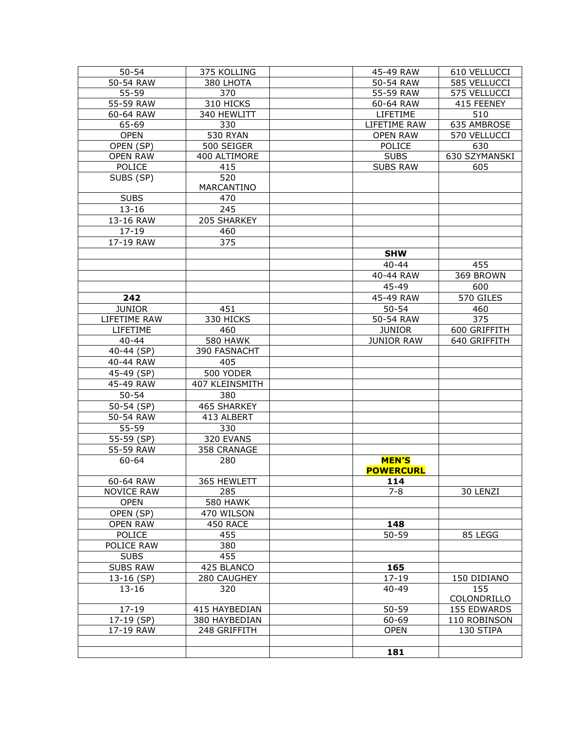| $50 - 54$                | 375 KOLLING     | 45-49 RAW         | 610 VELLUCCI  |
|--------------------------|-----------------|-------------------|---------------|
| 50-54 RAW                | 380 LHOTA       | 50-54 RAW         | 585 VELLUCCI  |
| 55-59                    | 370             | 55-59 RAW         | 575 VELLUCCI  |
| 55-59 RAW                | 310 HICKS       | 60-64 RAW         | 415 FEENEY    |
| 60-64 RAW                | 340 HEWLITT     | LIFETIME          | 510           |
| 65-69                    | 330             | LIFETIME RAW      | 635 AMBROSE   |
| <b>OPEN</b>              | <b>530 RYAN</b> | <b>OPEN RAW</b>   | 570 VELLUCCI  |
| OPEN (SP)                | 500 SEIGER      | <b>POLICE</b>     | 630           |
| <b>OPEN RAW</b>          | 400 ALTIMORE    | <b>SUBS</b>       | 630 SZYMANSKI |
| <b>POLICE</b>            | 415             | <b>SUBS RAW</b>   | 605           |
| SUBS (SP)                | 520             |                   |               |
|                          | MARCANTINO      |                   |               |
| <b>SUBS</b>              | 470             |                   |               |
| $13 - 16$                | 245             |                   |               |
| 13-16 RAW                | 205 SHARKEY     |                   |               |
| $17 - 19$                | 460             |                   |               |
| 17-19 RAW                | 375             |                   |               |
|                          |                 | <b>SHW</b>        |               |
|                          |                 | $40 - 44$         | 455           |
|                          |                 |                   | 369 BROWN     |
|                          |                 | 40-44 RAW         |               |
|                          |                 | 45-49             | 600           |
| 242                      |                 | 45-49 RAW         | 570 GILES     |
| <b>JUNIOR</b>            | 451             | $50 - 54$         | 460           |
| LIFETIME RAW             | 330 HICKS       | 50-54 RAW         | 375           |
| LIFETIME                 | 460             | <b>JUNIOR</b>     | 600 GRIFFITH  |
| $40 - 44$                | <b>580 HAWK</b> | <b>JUNIOR RAW</b> | 640 GRIFFITH  |
| 40-44 (SP)               | 390 FASNACHT    |                   |               |
| 40-44 RAW                | 405             |                   |               |
| 45-49 (SP)               | 500 YODER       |                   |               |
| 45-49 RAW                | 407 KLEINSMITH  |                   |               |
| $50 - 54$                | 380             |                   |               |
| $\overline{50}$ -54 (SP) | 465 SHARKEY     |                   |               |
| 50-54 RAW                | 413 ALBERT      |                   |               |
| 55-59                    | 330             |                   |               |
| 55-59 (SP)               | 320 EVANS       |                   |               |
| 55-59 RAW                | 358 CRANAGE     |                   |               |
| 60-64                    | 280             | <b>MEN'S</b>      |               |
|                          |                 | <b>POWERCURL</b>  |               |
| 60-64 RAW                | 365 HEWLETT     | 114               |               |
| <b>NOVICE RAW</b>        | 285             | $7 - 8$           | 30 LENZI      |
| <b>OPEN</b>              | <b>580 HAWK</b> |                   |               |
| OPEN (SP)                | 470 WILSON      |                   |               |
| <b>OPEN RAW</b>          | 450 RACE        | 148               |               |
| <b>POLICE</b>            | 455             | $50 - 59$         | 85 LEGG       |
| POLICE RAW               | 380             |                   |               |
| <b>SUBS</b>              | 455             |                   |               |
| <b>SUBS RAW</b>          | 425 BLANCO      | 165               |               |
| 13-16 (SP)               | 280 CAUGHEY     | $17 - 19$         | 150 DIDIANO   |
| $13 - 16$                | 320             | $40 - 49$         | 155           |
|                          |                 |                   | COLONDRILLO   |
| $17 - 19$                |                 | 50-59             |               |
|                          | 415 HAYBEDIAN   |                   | 155 EDWARDS   |
| 17-19 (SP)               | 380 HAYBEDIAN   | 60-69             | 110 ROBINSON  |
| 17-19 RAW                | 248 GRIFFITH    | <b>OPEN</b>       | 130 STIPA     |
|                          |                 |                   |               |
|                          |                 | 181               |               |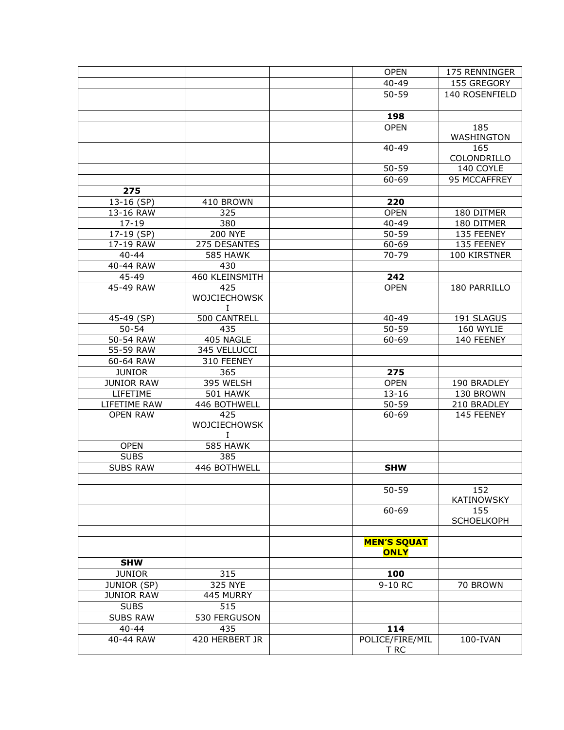|                   |                     | <b>OPEN</b>                       | 175 RENNINGER     |
|-------------------|---------------------|-----------------------------------|-------------------|
|                   |                     | $40 - 49$                         | 155 GREGORY       |
|                   |                     | $50 - 59$                         | 140 ROSENFIELD    |
|                   |                     |                                   |                   |
|                   |                     | 198                               |                   |
|                   |                     | <b>OPEN</b>                       | 185               |
|                   |                     |                                   | WASHINGTON        |
|                   |                     | $40 - 49$                         | 165               |
|                   |                     |                                   | COLONDRILLO       |
|                   |                     | $50 - 59$                         | 140 COYLE         |
|                   |                     | 60-69                             | 95 MCCAFFREY      |
| 275               |                     |                                   |                   |
| 13-16 (SP)        | 410 BROWN           | 220                               |                   |
| 13-16 RAW         | 325                 | <b>OPEN</b>                       | 180 DITMER        |
| $17 - 19$         | 380                 | $40 - 49$                         | 180 DITMER        |
| 17-19 (SP)        | <b>200 NYE</b>      | 50-59                             | 135 FEENEY        |
| 17-19 RAW         | 275 DESANTES        | 60-69                             | 135 FEENEY        |
| $40 - 44$         | <b>585 HAWK</b>     | 70-79                             | 100 KIRSTNER      |
| 40-44 RAW         | 430                 |                                   |                   |
| 45-49             | 460 KLEINSMITH      | 242                               |                   |
|                   |                     | <b>OPEN</b>                       | 180 PARRILLO      |
| 45-49 RAW         | 425<br>WOJCIECHOWSK |                                   |                   |
|                   | Ι.                  |                                   |                   |
| 45-49 (SP)        | 500 CANTRELL        | 40-49                             | 191 SLAGUS        |
| $50 - 54$         | 435                 | 50-59                             | 160 WYLIE         |
| 50-54 RAW         | 405 NAGLE           | 60-69                             | 140 FEENEY        |
| 55-59 RAW         | 345 VELLUCCI        |                                   |                   |
|                   |                     |                                   |                   |
| 60-64 RAW         | 310 FEENEY          |                                   |                   |
| <b>JUNIOR</b>     | 365                 | 275                               |                   |
| <b>JUNIOR RAW</b> | 395 WELSH           | <b>OPEN</b>                       | 190 BRADLEY       |
| LIFETIME          | <b>501 HAWK</b>     | $13 - 16$                         | 130 BROWN         |
| LIFETIME RAW      | 446 BOTHWELL        | $50 - 59$                         | 210 BRADLEY       |
| <b>OPEN RAW</b>   | 425                 | 60-69                             | 145 FEENEY        |
|                   | WOJCIECHOWSK        |                                   |                   |
|                   | I                   |                                   |                   |
| <b>OPEN</b>       | <b>585 HAWK</b>     |                                   |                   |
| <b>SUBS</b>       | 385                 |                                   |                   |
| <b>SUBS RAW</b>   | 446 BOTHWELL        | <b>SHW</b>                        |                   |
|                   |                     |                                   |                   |
|                   |                     | $50 - 59$                         | 152               |
|                   |                     |                                   | <b>KATINOWSKY</b> |
|                   |                     | 60-69                             | 155               |
|                   |                     |                                   | <b>SCHOELKOPH</b> |
|                   |                     |                                   |                   |
|                   |                     | <b>MEN'S SQUAT</b><br><b>ONLY</b> |                   |
| <b>SHW</b>        |                     |                                   |                   |
| <b>JUNIOR</b>     | 315                 | 100                               |                   |
| JUNIOR (SP)       | 325 NYE             | 9-10 RC                           | 70 BROWN          |
| <b>JUNIOR RAW</b> | 445 MURRY           |                                   |                   |
| <b>SUBS</b>       | 515                 |                                   |                   |
| <b>SUBS RAW</b>   | 530 FERGUSON        |                                   |                   |
| $40 - 44$         | 435                 | 114                               |                   |
| 40-44 RAW         | 420 HERBERT JR      | POLICE/FIRE/MIL<br>T RC           | 100-IVAN          |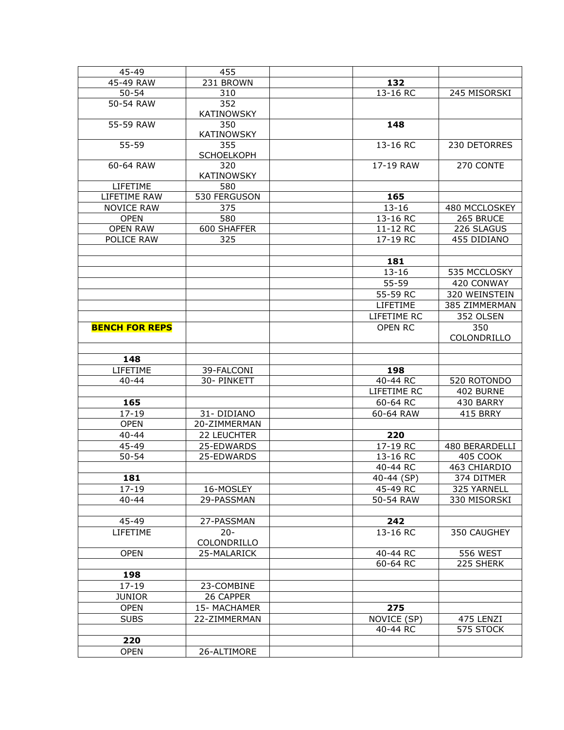| 45-49                  | 455               |                |                |
|------------------------|-------------------|----------------|----------------|
| 45-49 RAW              | 231 BROWN         | 132            |                |
| $50 - 54$              | 310               | $13 - 16$ RC   | 245 MISORSKI   |
| 50-54 RAW              | 352               |                |                |
|                        | <b>KATINOWSKY</b> |                |                |
| 55-59 RAW              | 350               | 148            |                |
|                        | <b>KATINOWSKY</b> |                |                |
| 55-59                  | 355               | 13-16 RC       | 230 DETORRES   |
|                        | <b>SCHOELKOPH</b> |                |                |
| 60-64 RAW              | 320               | 17-19 RAW      | 270 CONTE      |
|                        | <b>KATINOWSKY</b> |                |                |
| LIFETIME               | 580               |                |                |
| LIFETIME RAW           | 530 FERGUSON      | 165            |                |
| <b>NOVICE RAW</b>      | 375               | $13 - 16$      | 480 MCCLOSKEY  |
| <b>OPEN</b>            | 580               | 13-16 RC       | 265 BRUCE      |
| <b>OPEN RAW</b>        | 600 SHAFFER       | 11-12 RC       | 226 SLAGUS     |
| POLICE RAW             | 325               | 17-19 RC       | 455 DIDIANO    |
|                        |                   |                |                |
|                        |                   | 181            |                |
|                        |                   | $13 - 16$      | 535 MCCLOSKY   |
|                        |                   | 55-59          | 420 CONWAY     |
|                        |                   | 55-59 RC       | 320 WEINSTEIN  |
|                        |                   | LIFETIME       | 385 ZIMMERMAN  |
|                        |                   |                |                |
|                        |                   | LIFETIME RC    | 352 OLSEN      |
| <b>BENCH FOR REPS</b>  |                   | <b>OPEN RC</b> | 350            |
|                        |                   |                | COLONDRILLO    |
|                        |                   |                |                |
| 148                    |                   |                |                |
| LIFETIME               | 39-FALCONI        | 198            |                |
|                        |                   | 40-44 RC       |                |
| $40 - 44$              | 30- PINKETT       |                | 520 ROTONDO    |
|                        |                   | LIFETIME RC    | 402 BURNE      |
| 165                    |                   | 60-64 RC       | 430 BARRY      |
| $17 - 19$              | 31-DIDIANO        | 60-64 RAW      | 415 BRRY       |
| <b>OPEN</b>            | 20-ZIMMERMAN      |                |                |
| $40 - 44$              | 22 LEUCHTER       | 220            |                |
| 45-49                  | 25-EDWARDS        | 17-19 RC       | 480 BERARDELLI |
| $50 - 54$              | 25-EDWARDS        | 13-16 RC       | 405 COOK       |
|                        |                   | 40-44 RC       | 463 CHIARDIO   |
|                        |                   |                |                |
| 181                    |                   | 40-44 (SP)     | 374 DITMER     |
| $17 - 19$<br>$40 - 44$ | 16-MOSLEY         | 45-49 RC       | 325 YARNELL    |
|                        | 29-PASSMAN        | 50-54 RAW      | 330 MISORSKI   |
|                        |                   |                |                |
| 45-49                  | 27-PASSMAN        | 242            |                |
| LIFETIME               | $20 -$            | 13-16 RC       | 350 CAUGHEY    |
|                        | COLONDRILLO       |                |                |
| <b>OPEN</b>            | 25-MALARICK       | 40-44 RC       | 556 WEST       |
|                        |                   | 60-64 RC       | 225 SHERK      |
| 198                    |                   |                |                |
| $17 - 19$              | 23-COMBINE        |                |                |
| <b>JUNIOR</b>          | 26 CAPPER         |                |                |
| <b>OPEN</b>            | 15-MACHAMER       | 275            |                |
| <b>SUBS</b>            | 22-ZIMMERMAN      | NOVICE (SP)    | 475 LENZI      |
|                        |                   | 40-44 RC       | 575 STOCK      |
| 220<br><b>OPEN</b>     | 26-ALTIMORE       |                |                |